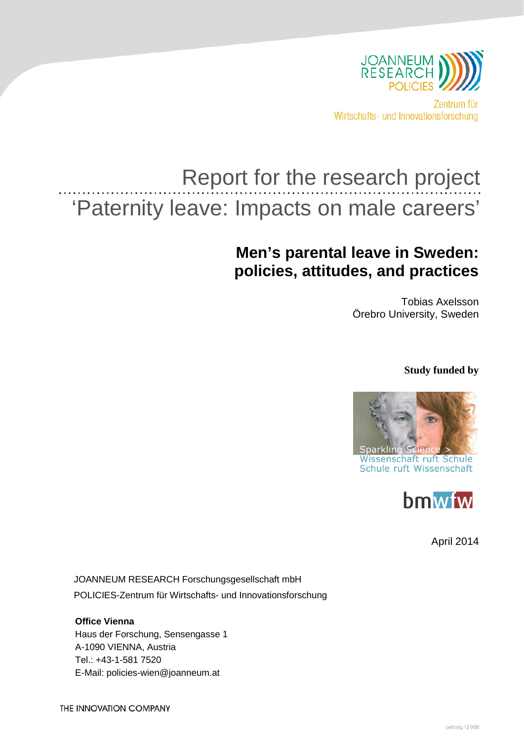

Wirtschafts- und Innovationsforschung

# Report for the research project 'Paternity leave: Impacts on male careers'

## **Men's parental leave in Sweden: policies, attitudes, and practices**

Tobias Axelsson Örebro University, Sweden

**Study funded by** 





April 2014

JOANNEUM RESEARCH Forschungsgesellschaft mbH POLICIES-Zentrum für Wirtschafts- und Innovationsforschung

**Office Vienna** Haus der Forschung, Sensengasse 1 A-1090 VIENNA, Austria Tel.: +43-1-581 7520 E-Mail: policies-wien@joanneum.at

THE INNOVATION COMPANY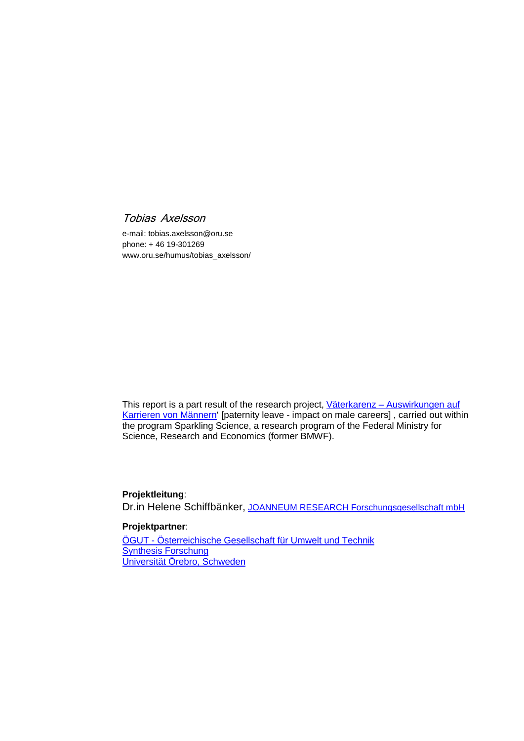## Tobias Axelsson

e-mail[: tobias.axelsson@oru.se](mailto:tobias.axelsson@oru.se) phone: + 46 19-301269 [www.oru.se/humus/tobias\\_axelsson/](http://www.oru.se/humus/tobias_axelsson/)

This report is a part result of the research project, Väterkarenz - Auswirkungen auf [Karrieren von Männern'](http://www.sparklingscience.at/de/projekte/590-/) [paternity leave - impact on male careers] , carried out within the program Sparkling Science, a research program of the Federal Ministry for Science, Research and Economics (former BMWF).

## **Projektleitung**:

Dr.in Helene Schiffbänker, [JOANNEUM RESEARCH Forschungsgesellschaft mbH](http://www.joanneum.at/nc/lernen-sie-uns-kennen/mitarbeiterinnen/detail/staff/Schiffb%C3%A4nker-Helene/1725/0.html)

## **Projektpartner**:

ÖGUT - [Österreichische Gesellschaft für Umwelt und Technik](http://www.oegut.at/de/) [Synthesis Forschung](http://www.synthesis.co.at/) [Universität Örebro, Schweden](http://www.oru.se/English/)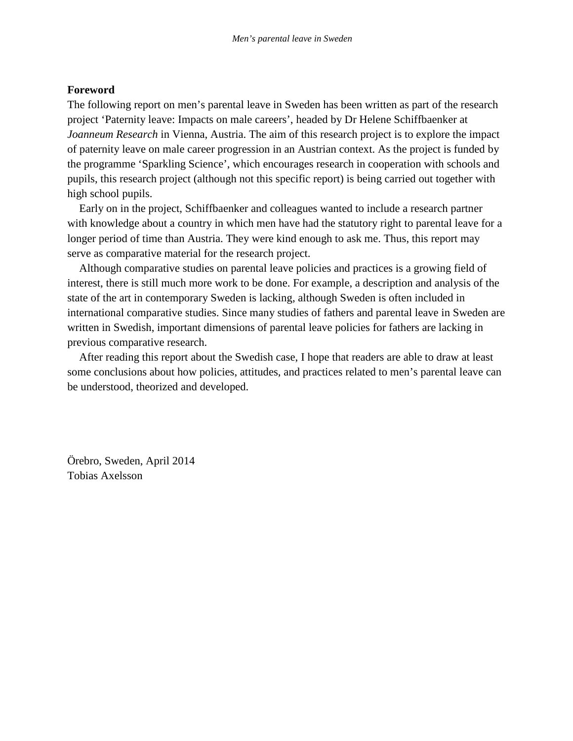## **Foreword**

The following report on men's parental leave in Sweden has been written as part of the research project 'Paternity leave: Impacts on male careers', headed by Dr Helene Schiffbaenker at *Joanneum Research* in Vienna, Austria. The aim of this research project is to explore the impact of paternity leave on male career progression in an Austrian context. As the project is funded by the programme 'Sparkling Science', which encourages research in cooperation with schools and pupils, this research project (although not this specific report) is being carried out together with high school pupils.

Early on in the project, Schiffbaenker and colleagues wanted to include a research partner with knowledge about a country in which men have had the statutory right to parental leave for a longer period of time than Austria. They were kind enough to ask me. Thus, this report may serve as comparative material for the research project.

Although comparative studies on parental leave policies and practices is a growing field of interest, there is still much more work to be done. For example, a description and analysis of the state of the art in contemporary Sweden is lacking, although Sweden is often included in international comparative studies. Since many studies of fathers and parental leave in Sweden are written in Swedish, important dimensions of parental leave policies for fathers are lacking in previous comparative research.

After reading this report about the Swedish case, I hope that readers are able to draw at least some conclusions about how policies, attitudes, and practices related to men's parental leave can be understood, theorized and developed.

Örebro, Sweden, April 2014 Tobias Axelsson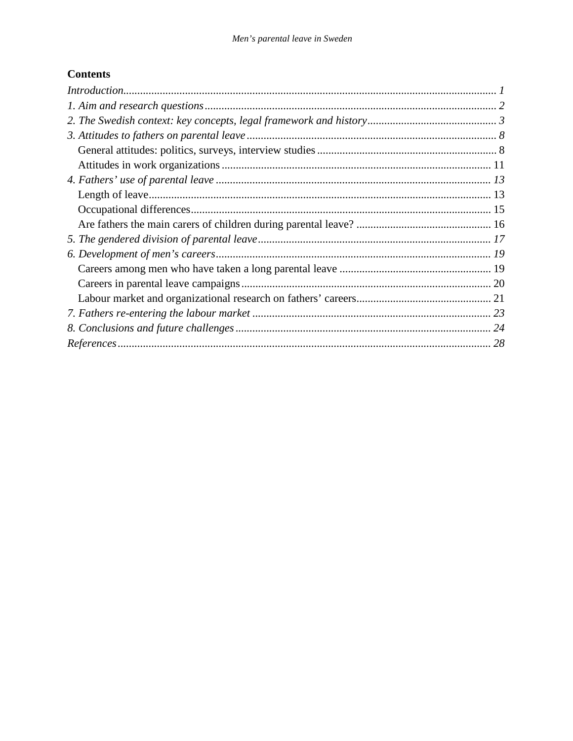## **Contents**

| Introduction 1 |  |
|----------------|--|
|                |  |
|                |  |
|                |  |
|                |  |
|                |  |
|                |  |
|                |  |
|                |  |
|                |  |
|                |  |
|                |  |
|                |  |
|                |  |
|                |  |
|                |  |
|                |  |
|                |  |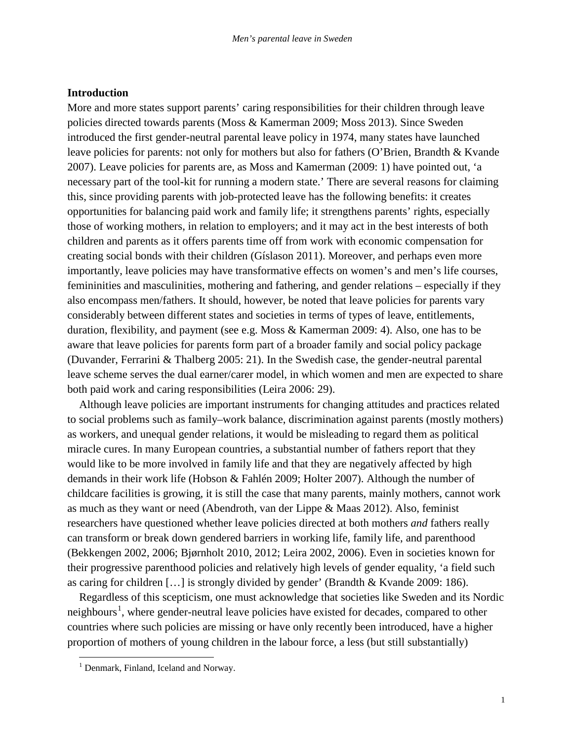## **Introduction**

More and more states support parents' caring responsibilities for their children through leave policies directed towards parents (Moss & Kamerman 2009; Moss 2013). Since Sweden introduced the first gender-neutral parental leave policy in 1974, many states have launched leave policies for parents: not only for mothers but also for fathers (O'Brien, Brandth & Kvande 2007). Leave policies for parents are, as Moss and Kamerman (2009: 1) have pointed out, 'a necessary part of the tool-kit for running a modern state.' There are several reasons for claiming this, since providing parents with job-protected leave has the following benefits: it creates opportunities for balancing paid work and family life; it strengthens parents' rights, especially those of working mothers, in relation to employers; and it may act in the best interests of both children and parents as it offers parents time off from work with economic compensation for creating social bonds with their children (Gíslason 2011). Moreover, and perhaps even more importantly, leave policies may have transformative effects on women's and men's life courses, femininities and masculinities, mothering and fathering, and gender relations – especially if they also encompass men/fathers. It should, however, be noted that leave policies for parents vary considerably between different states and societies in terms of types of leave, entitlements, duration, flexibility, and payment (see e.g. Moss & Kamerman 2009: 4). Also, one has to be aware that leave policies for parents form part of a broader family and social policy package (Duvander, Ferrarini & Thalberg 2005: 21). In the Swedish case, the gender-neutral parental leave scheme serves the dual earner/carer model, in which women and men are expected to share both paid work and caring responsibilities (Leira 2006: 29).

Although leave policies are important instruments for changing attitudes and practices related to social problems such as family–work balance, discrimination against parents (mostly mothers) as workers, and unequal gender relations, it would be misleading to regard them as political miracle cures. In many European countries, a substantial number of fathers report that they would like to be more involved in family life and that they are negatively affected by high demands in their work life (Hobson & Fahlén 2009; Holter 2007). Although the number of childcare facilities is growing, it is still the case that many parents, mainly mothers, cannot work as much as they want or need (Abendroth, van der Lippe & Maas 2012). Also, feminist researchers have questioned whether leave policies directed at both mothers *and* fathers really can transform or break down gendered barriers in working life, family life, and parenthood (Bekkengen 2002, 2006; Bjørnholt 2010, 2012; Leira 2002, 2006). Even in societies known for their progressive parenthood policies and relatively high levels of gender equality, 'a field such as caring for children […] is strongly divided by gender' (Brandth & Kvande 2009: 186).

Regardless of this scepticism, one must acknowledge that societies like Sweden and its Nordic neighbours<sup>[1](#page-4-0)</sup>, where gender-neutral leave policies have existed for decades, compared to other countries where such policies are missing or have only recently been introduced, have a higher proportion of mothers of young children in the labour force, a less (but still substantially)

<span id="page-4-0"></span><sup>&</sup>lt;sup>1</sup> Denmark, Finland, Iceland and Norway.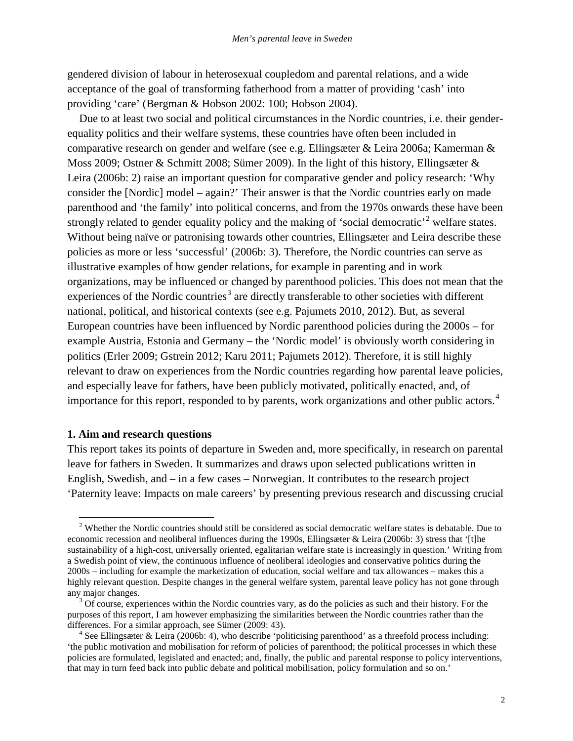gendered division of labour in heterosexual coupledom and parental relations, and a wide acceptance of the goal of transforming fatherhood from a matter of providing 'cash' into providing 'care' (Bergman & Hobson 2002: 100; Hobson 2004).

Due to at least two social and political circumstances in the Nordic countries, i.e. their genderequality politics and their welfare systems, these countries have often been included in comparative research on gender and welfare (see e.g. Ellingsæter & Leira 2006a; Kamerman & Moss 2009; Ostner & Schmitt 2008; Sümer 2009). In the light of this history, Ellingsæter & Leira (2006b: 2) raise an important question for comparative gender and policy research: 'Why consider the [Nordic] model – again?' Their answer is that the Nordic countries early on made parenthood and 'the family' into political concerns, and from the 1970s onwards these have been strongly related to gender equality policy and the making of 'social democratic' welfare states. Without being naïve or patronising towards other countries, Ellingsæter and Leira describe these policies as more or less 'successful' (2006b: 3). Therefore, the Nordic countries can serve as illustrative examples of how gender relations, for example in parenting and in work organizations, may be influenced or changed by parenthood policies. This does not mean that the experiences of the Nordic countries<sup>[3](#page-5-1)</sup> are directly transferable to other societies with different national, political, and historical contexts (see e.g. Pajumets 2010, 2012). But, as several European countries have been influenced by Nordic parenthood policies during the 2000s – for example Austria, Estonia and Germany – the 'Nordic model' is obviously worth considering in politics (Erler 2009; Gstrein 2012; Karu 2011; Pajumets 2012). Therefore, it is still highly relevant to draw on experiences from the Nordic countries regarding how parental leave policies, and especially leave for fathers, have been publicly motivated, politically enacted, and, of importance for this report, responded to by parents, work organizations and other public actors.<sup>[4](#page-5-2)</sup>

## **1. Aim and research questions**

This report takes its points of departure in Sweden and, more specifically, in research on parental leave for fathers in Sweden. It summarizes and draws upon selected publications written in English, Swedish, and – in a few cases – Norwegian. It contributes to the research project 'Paternity leave: Impacts on male careers' by presenting previous research and discussing crucial

<span id="page-5-0"></span><sup>&</sup>lt;sup>2</sup> Whether the Nordic countries should still be considered as social democratic welfare states is debatable. Due to economic recession and neoliberal influences during the 1990s, Ellingsæter & Leira (2006b: 3) stress that '[t]he sustainability of a high-cost, universally oriented, egalitarian welfare state is increasingly in question.' Writing from a Swedish point of view, the continuous influence of neoliberal ideologies and conservative politics during the 2000s – including for example the marketization of education, social welfare and tax allowances – makes this a highly relevant question. Despite changes in the general welfare system, parental leave policy has not gone through

<span id="page-5-1"></span> $3$  Of course, experiences within the Nordic countries vary, as do the policies as such and their history. For the purposes of this report, I am however emphasizing the similarities between the Nordic countries rather than the differences. For a similar approach, see Sümer (2009: 43).  $4^4$  See Ellingsæter & Leira (2006b: 4), who describe 'politicising parenthood' as a threefold process including:

<span id="page-5-2"></span><sup>&#</sup>x27;the public motivation and mobilisation for reform of policies of parenthood; the political processes in which these policies are formulated, legislated and enacted; and, finally, the public and parental response to policy interventions, that may in turn feed back into public debate and political mobilisation, policy formulation and so on.'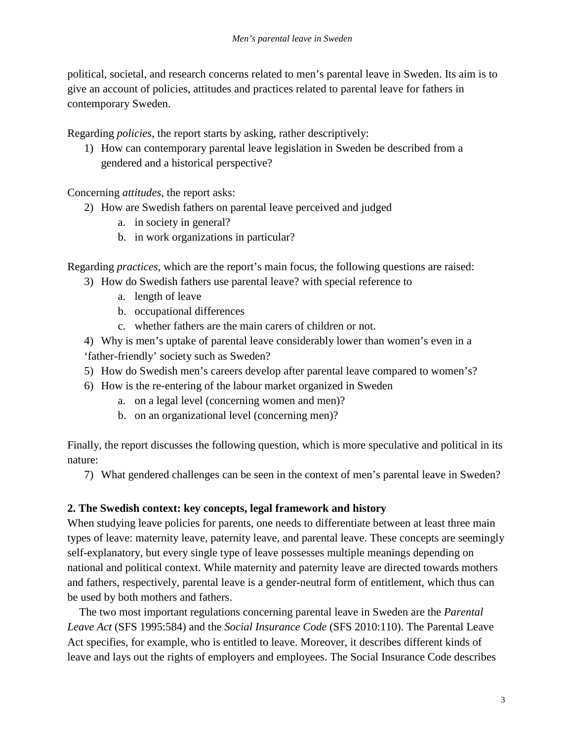political, societal, and research concerns related to men's parental leave in Sweden. Its aim is to give an account of policies, attitudes and practices related to parental leave for fathers in contemporary Sweden.

Regarding *policies*, the report starts by asking, rather descriptively:

1) How can contemporary parental leave legislation in Sweden be described from a gendered and a historical perspective?

Concerning *attitudes*, the report asks:

- 2) How are Swedish fathers on parental leave perceived and judged
	- a. in society in general?
	- b. in work organizations in particular?

Regarding *practices*, which are the report's main focus, the following questions are raised:

- 3) How do Swedish fathers use parental leave? with special reference to
	- a. length of leave
	- b. occupational differences
	- c. whether fathers are the main carers of children or not.

4) Why is men's uptake of parental leave considerably lower than women's even in a 'father-friendly' society such as Sweden?

- 5) How do Swedish men's careers develop after parental leave compared to women's?
- 6) How is the re-entering of the labour market organized in Sweden
	- a. on a legal level (concerning women and men)?
	- b. on an organizational level (concerning men)?

Finally, the report discusses the following question, which is more speculative and political in its nature:

7) What gendered challenges can be seen in the context of men's parental leave in Sweden?

## **2. The Swedish context: key concepts, legal framework and history**

When studying leave policies for parents, one needs to differentiate between at least three main types of leave: maternity leave, paternity leave, and parental leave. These concepts are seemingly self-explanatory, but every single type of leave possesses multiple meanings depending on national and political context. While maternity and paternity leave are directed towards mothers and fathers, respectively, parental leave is a gender-neutral form of entitlement, which thus can be used by both mothers and fathers.

The two most important regulations concerning parental leave in Sweden are the *Parental Leave Act* (SFS 1995:584) and the *Social Insurance Code* (SFS 2010:110). The Parental Leave Act specifies, for example, who is entitled to leave. Moreover, it describes different kinds of leave and lays out the rights of employers and employees. The Social Insurance Code describes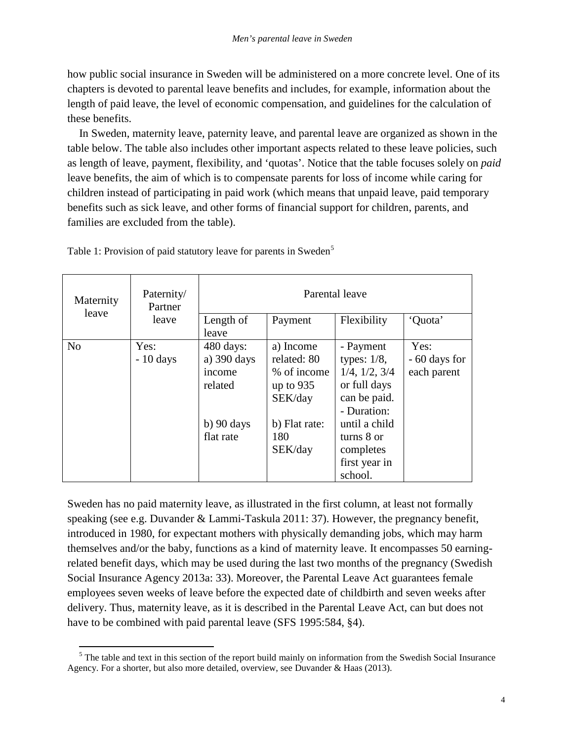how public social insurance in Sweden will be administered on a more concrete level. One of its chapters is devoted to parental leave benefits and includes, for example, information about the length of paid leave, the level of economic compensation, and guidelines for the calculation of these benefits.

In Sweden, maternity leave, paternity leave, and parental leave are organized as shown in the table below. The table also includes other important aspects related to these leave policies, such as length of leave, payment, flexibility, and 'quotas'. Notice that the table focuses solely on *paid* leave benefits, the aim of which is to compensate parents for loss of income while caring for children instead of participating in paid work (which means that unpaid leave, paid temporary benefits such as sick leave, and other forms of financial support for children, parents, and families are excluded from the table).

| Maternity<br>leave | Paternity/<br>Partner<br>leave | Parental leave                                                     |                                                                   |                                                                                                     |                                      |
|--------------------|--------------------------------|--------------------------------------------------------------------|-------------------------------------------------------------------|-----------------------------------------------------------------------------------------------------|--------------------------------------|
|                    |                                | Length of<br>leave                                                 | Payment                                                           | Flexibility                                                                                         | 'Quota'                              |
| N <sub>o</sub>     | Yes:<br>$-10$ days             | $480 \text{ days}$ :<br>a) $390 \text{ days}$<br>income<br>related | a) Income<br>related: 80<br>% of income<br>up to $935$<br>SEK/day | - Payment<br>types: $1/8$ ,<br>$1/4$ , $1/2$ , $3/4$<br>or full days<br>can be paid.<br>- Duration: | Yes:<br>- 60 days for<br>each parent |
|                    |                                | $b)$ 90 days<br>flat rate                                          | b) Flat rate:<br>180<br>SEK/day                                   | until a child<br>turns 8 or<br>completes<br>first year in<br>school.                                |                                      |

Table 1: Provision of paid statutory leave for parents in Sweden<sup>[5](#page-7-0)</sup>

Sweden has no paid maternity leave, as illustrated in the first column, at least not formally speaking (see e.g. Duvander & Lammi-Taskula 2011: 37). However, the pregnancy benefit, introduced in 1980, for expectant mothers with physically demanding jobs, which may harm themselves and/or the baby, functions as a kind of maternity leave. It encompasses 50 earningrelated benefit days, which may be used during the last two months of the pregnancy (Swedish Social Insurance Agency 2013a: 33). Moreover, the Parental Leave Act guarantees female employees seven weeks of leave before the expected date of childbirth and seven weeks after delivery. Thus, maternity leave, as it is described in the Parental Leave Act, can but does not have to be combined with paid parental leave (SFS 1995:584, §4).

<span id="page-7-0"></span><sup>&</sup>lt;sup>5</sup> The table and text in this section of the report build mainly on information from the Swedish Social Insurance Agency. For a shorter, but also more detailed, overview, see Duvander & Haas (2013).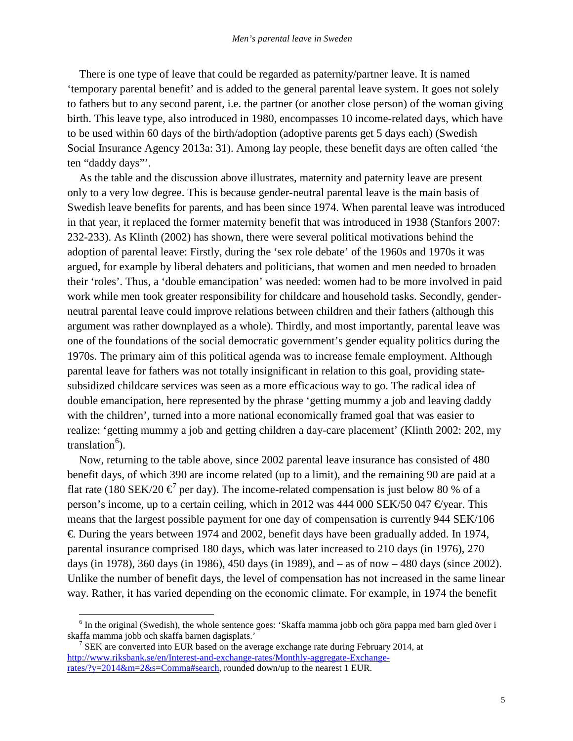There is one type of leave that could be regarded as paternity/partner leave. It is named 'temporary parental benefit' and is added to the general parental leave system. It goes not solely to fathers but to any second parent, i.e. the partner (or another close person) of the woman giving birth. This leave type, also introduced in 1980, encompasses 10 income-related days, which have to be used within 60 days of the birth/adoption (adoptive parents get 5 days each) (Swedish Social Insurance Agency 2013a: 31). Among lay people, these benefit days are often called 'the ten "daddy days"'.

As the table and the discussion above illustrates, maternity and paternity leave are present only to a very low degree. This is because gender-neutral parental leave is the main basis of Swedish leave benefits for parents, and has been since 1974. When parental leave was introduced in that year, it replaced the former maternity benefit that was introduced in 1938 (Stanfors 2007: 232-233). As Klinth (2002) has shown, there were several political motivations behind the adoption of parental leave: Firstly, during the 'sex role debate' of the 1960s and 1970s it was argued, for example by liberal debaters and politicians, that women and men needed to broaden their 'roles'. Thus, a 'double emancipation' was needed: women had to be more involved in paid work while men took greater responsibility for childcare and household tasks. Secondly, genderneutral parental leave could improve relations between children and their fathers (although this argument was rather downplayed as a whole). Thirdly, and most importantly, parental leave was one of the foundations of the social democratic government's gender equality politics during the 1970s. The primary aim of this political agenda was to increase female employment. Although parental leave for fathers was not totally insignificant in relation to this goal, providing statesubsidized childcare services was seen as a more efficacious way to go. The radical idea of double emancipation, here represented by the phrase 'getting mummy a job and leaving daddy with the children', turned into a more national economically framed goal that was easier to realize: 'getting mummy a job and getting children a day-care placement' (Klinth 2002: 202, my translation<sup>[6](#page-8-0)</sup>).

Now, returning to the table above, since 2002 parental leave insurance has consisted of 480 benefit days, of which 390 are income related (up to a limit), and the remaining 90 are paid at a flat rate (180 SEK/20  $\epsilon^7$  $\epsilon^7$  per day). The income-related compensation is just below 80 % of a person's income, up to a certain ceiling, which in 2012 was 444 000 SEK/50 047  $\Theta$ year. This means that the largest possible payment for one day of compensation is currently 944 SEK/106 €. During the years between 1974 and 2002, benefit days have been gradually added. In 1974, parental insurance comprised 180 days, which was later increased to 210 days (in 1976), 270 days (in 1978), 360 days (in 1986), 450 days (in 1989), and – as of now – 480 days (since 2002). Unlike the number of benefit days, the level of compensation has not increased in the same linear way. Rather, it has varied depending on the economic climate. For example, in 1974 the benefit

<span id="page-8-0"></span><sup>&</sup>lt;sup>6</sup> In the original (Swedish), the whole sentence goes: 'Skaffa mamma jobb och göra pappa med barn gled över i skaffa mamma jobb och skaffa barnen dagisplats.' 7 SEK are converted into EUR based on the average exchange rate during February 2014, at

<span id="page-8-1"></span>[http://www.riksbank.se/en/Interest-and-exchange-rates/Monthly-aggregate-Exchange](http://www.riksbank.se/en/Interest-and-exchange-rates/Monthly-aggregate-Exchange-rates/?y=2014&m=2&s=Comma#search)[rates/?y=2014&m=2&s=Comma#search,](http://www.riksbank.se/en/Interest-and-exchange-rates/Monthly-aggregate-Exchange-rates/?y=2014&m=2&s=Comma#search) rounded down/up to the nearest 1 EUR.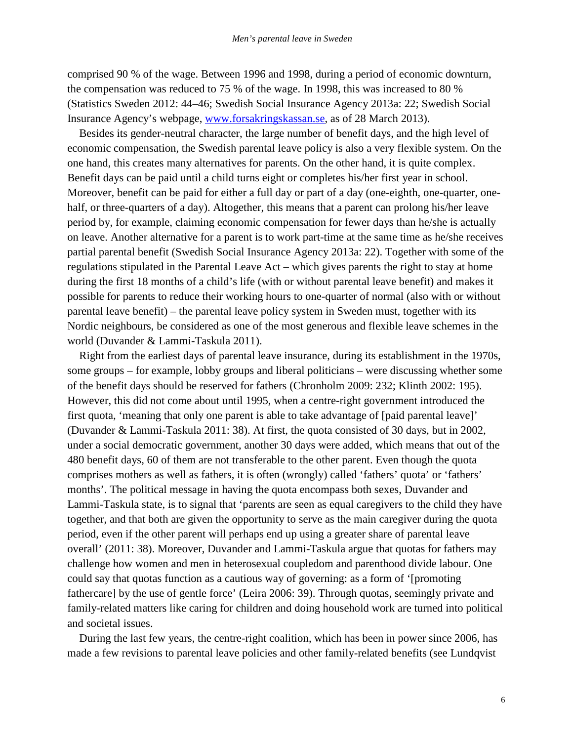comprised 90 % of the wage. Between 1996 and 1998, during a period of economic downturn, the compensation was reduced to 75 % of the wage. In 1998, this was increased to 80 % (Statistics Sweden 2012: 44–46; Swedish Social Insurance Agency 2013a: 22; Swedish Social Insurance Agency's webpage, [www.forsakringskassan.se,](http://www.forsakringskassan.se/) as of 28 March 2013).

Besides its gender-neutral character, the large number of benefit days, and the high level of economic compensation, the Swedish parental leave policy is also a very flexible system. On the one hand, this creates many alternatives for parents. On the other hand, it is quite complex. Benefit days can be paid until a child turns eight or completes his/her first year in school. Moreover, benefit can be paid for either a full day or part of a day (one-eighth, one-quarter, onehalf, or three-quarters of a day). Altogether, this means that a parent can prolong his/her leave period by, for example, claiming economic compensation for fewer days than he/she is actually on leave. Another alternative for a parent is to work part-time at the same time as he/she receives partial parental benefit (Swedish Social Insurance Agency 2013a: 22). Together with some of the regulations stipulated in the Parental Leave Act – which gives parents the right to stay at home during the first 18 months of a child's life (with or without parental leave benefit) and makes it possible for parents to reduce their working hours to one-quarter of normal (also with or without parental leave benefit) – the parental leave policy system in Sweden must, together with its Nordic neighbours, be considered as one of the most generous and flexible leave schemes in the world (Duvander & Lammi-Taskula 2011).

Right from the earliest days of parental leave insurance, during its establishment in the 1970s, some groups – for example, lobby groups and liberal politicians – were discussing whether some of the benefit days should be reserved for fathers (Chronholm 2009: 232; Klinth 2002: 195). However, this did not come about until 1995, when a centre-right government introduced the first quota, 'meaning that only one parent is able to take advantage of [paid parental leave]' (Duvander & Lammi-Taskula 2011: 38). At first, the quota consisted of 30 days, but in 2002, under a social democratic government, another 30 days were added, which means that out of the 480 benefit days, 60 of them are not transferable to the other parent. Even though the quota comprises mothers as well as fathers, it is often (wrongly) called 'fathers' quota' or 'fathers' months'. The political message in having the quota encompass both sexes, Duvander and Lammi-Taskula state, is to signal that 'parents are seen as equal caregivers to the child they have together, and that both are given the opportunity to serve as the main caregiver during the quota period, even if the other parent will perhaps end up using a greater share of parental leave overall' (2011: 38). Moreover, Duvander and Lammi-Taskula argue that quotas for fathers may challenge how women and men in heterosexual coupledom and parenthood divide labour. One could say that quotas function as a cautious way of governing: as a form of '[promoting fathercare] by the use of gentle force' (Leira 2006: 39). Through quotas, seemingly private and family-related matters like caring for children and doing household work are turned into political and societal issues.

During the last few years, the centre-right coalition, which has been in power since 2006, has made a few revisions to parental leave policies and other family-related benefits (see Lundqvist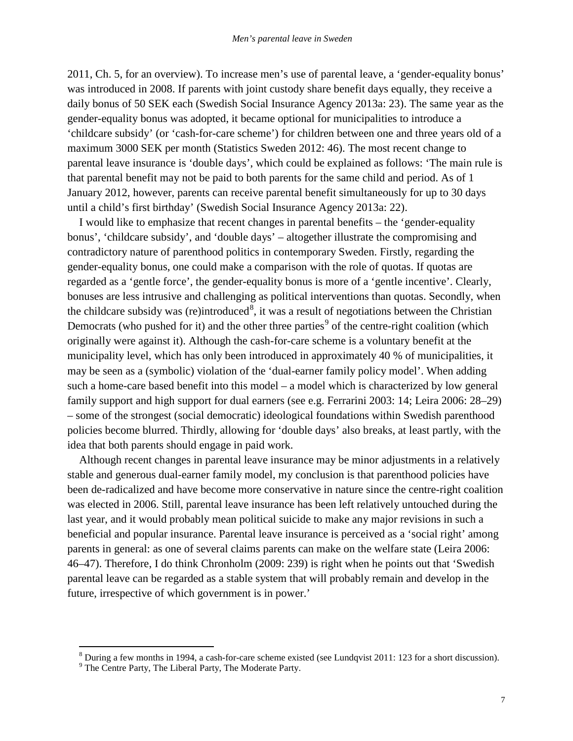2011, Ch. 5, for an overview). To increase men's use of parental leave, a 'gender-equality bonus' was introduced in 2008. If parents with joint custody share benefit days equally, they receive a daily bonus of 50 SEK each (Swedish Social Insurance Agency 2013a: 23). The same year as the gender-equality bonus was adopted, it became optional for municipalities to introduce a 'childcare subsidy' (or 'cash-for-care scheme') for children between one and three years old of a maximum 3000 SEK per month (Statistics Sweden 2012: 46). The most recent change to parental leave insurance is 'double days', which could be explained as follows: 'The main rule is that parental benefit may not be paid to both parents for the same child and period. As of 1 January 2012, however, parents can receive parental benefit simultaneously for up to 30 days until a child's first birthday' (Swedish Social Insurance Agency 2013a: 22).

I would like to emphasize that recent changes in parental benefits – the 'gender-equality bonus', 'childcare subsidy', and 'double days' – altogether illustrate the compromising and contradictory nature of parenthood politics in contemporary Sweden. Firstly, regarding the gender-equality bonus, one could make a comparison with the role of quotas. If quotas are regarded as a 'gentle force', the gender-equality bonus is more of a 'gentle incentive'. Clearly, bonuses are less intrusive and challenging as political interventions than quotas. Secondly, when the childcare subsidy was (re)introduced<sup>[8](#page-10-0)</sup>, it was a result of negotiations between the Christian Democrats (who pushed for it) and the other three parties<sup>[9](#page-10-1)</sup> of the centre-right coalition (which originally were against it). Although the cash-for-care scheme is a voluntary benefit at the municipality level, which has only been introduced in approximately 40 % of municipalities, it may be seen as a (symbolic) violation of the 'dual-earner family policy model'. When adding such a home-care based benefit into this model – a model which is characterized by low general family support and high support for dual earners (see e.g. Ferrarini 2003: 14; Leira 2006: 28–29) – some of the strongest (social democratic) ideological foundations within Swedish parenthood policies become blurred. Thirdly, allowing for 'double days' also breaks, at least partly, with the idea that both parents should engage in paid work.

Although recent changes in parental leave insurance may be minor adjustments in a relatively stable and generous dual-earner family model, my conclusion is that parenthood policies have been de-radicalized and have become more conservative in nature since the centre-right coalition was elected in 2006. Still, parental leave insurance has been left relatively untouched during the last year, and it would probably mean political suicide to make any major revisions in such a beneficial and popular insurance. Parental leave insurance is perceived as a 'social right' among parents in general: as one of several claims parents can make on the welfare state (Leira 2006: 46–47). Therefore, I do think Chronholm (2009: 239) is right when he points out that 'Swedish parental leave can be regarded as a stable system that will probably remain and develop in the future, irrespective of which government is in power.'

<span id="page-10-0"></span> $8$  During a few months in 1994, a cash-for-care scheme existed (see Lundqvist 2011: 123 for a short discussion).  $9$  The Centre Party, The Liberal Party, The Moderate Party.

<span id="page-10-1"></span>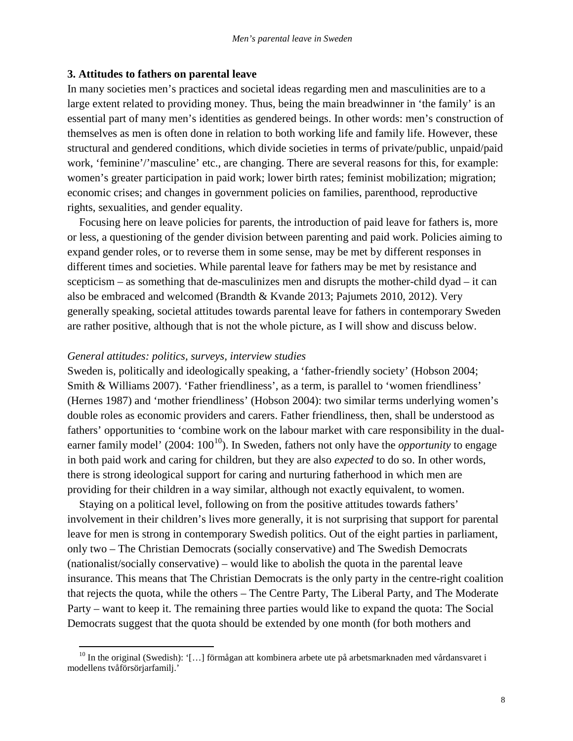## **3. Attitudes to fathers on parental leave**

In many societies men's practices and societal ideas regarding men and masculinities are to a large extent related to providing money. Thus, being the main breadwinner in 'the family' is an essential part of many men's identities as gendered beings. In other words: men's construction of themselves as men is often done in relation to both working life and family life. However, these structural and gendered conditions, which divide societies in terms of private/public, unpaid/paid work, 'feminine'/'masculine' etc., are changing. There are several reasons for this, for example: women's greater participation in paid work; lower birth rates; feminist mobilization; migration; economic crises; and changes in government policies on families, parenthood, reproductive rights, sexualities, and gender equality.

Focusing here on leave policies for parents, the introduction of paid leave for fathers is, more or less, a questioning of the gender division between parenting and paid work. Policies aiming to expand gender roles, or to reverse them in some sense, may be met by different responses in different times and societies. While parental leave for fathers may be met by resistance and scepticism – as something that de-masculinizes men and disrupts the mother-child dyad – it can also be embraced and welcomed (Brandth & Kvande 2013; Pajumets 2010, 2012). Very generally speaking, societal attitudes towards parental leave for fathers in contemporary Sweden are rather positive, although that is not the whole picture, as I will show and discuss below.

## *General attitudes: politics, surveys, interview studies*

Sweden is, politically and ideologically speaking, a 'father-friendly society' (Hobson 2004; Smith & Williams 2007). 'Father friendliness', as a term, is parallel to 'women friendliness' (Hernes 1987) and 'mother friendliness' (Hobson 2004): two similar terms underlying women's double roles as economic providers and carers. Father friendliness, then, shall be understood as fathers' opportunities to 'combine work on the labour market with care responsibility in the dualearner family model' (2004:  $100^{10}$  $100^{10}$ ). In Sweden, fathers not only have the *opportunity* to engage in both paid work and caring for children, but they are also *expected* to do so. In other words, there is strong ideological support for caring and nurturing fatherhood in which men are providing for their children in a way similar, although not exactly equivalent, to women.

Staying on a political level, following on from the positive attitudes towards fathers' involvement in their children's lives more generally, it is not surprising that support for parental leave for men is strong in contemporary Swedish politics. Out of the eight parties in parliament, only two – The Christian Democrats (socially conservative) and The Swedish Democrats (nationalist/socially conservative) – would like to abolish the quota in the parental leave insurance. This means that The Christian Democrats is the only party in the centre-right coalition that rejects the quota, while the others – The Centre Party, The Liberal Party, and The Moderate Party – want to keep it. The remaining three parties would like to expand the quota: The Social Democrats suggest that the quota should be extended by one month (for both mothers and

<span id="page-11-0"></span> $10$  In the original (Swedish): '[...] förmågan att kombinera arbete ute på arbetsmarknaden med vårdansvaret i modellens tvåförsörjarfamilj.'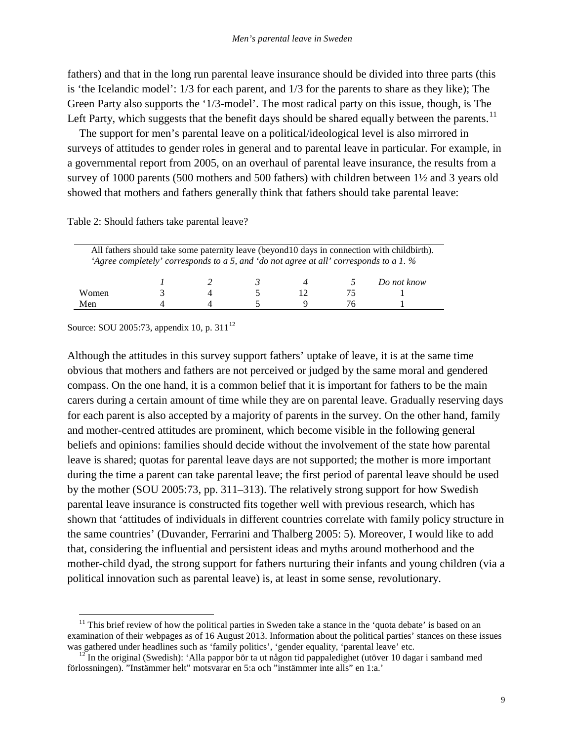fathers) and that in the long run parental leave insurance should be divided into three parts (this is 'the Icelandic model': 1/3 for each parent, and 1/3 for the parents to share as they like); The Green Party also supports the '1/3-model'. The most radical party on this issue, though, is The Left Party, which suggests that the benefit days should be shared equally between the parents.<sup>[11](#page-12-0)</sup>

The support for men's parental leave on a political/ideological level is also mirrored in surveys of attitudes to gender roles in general and to parental leave in particular. For example, in a governmental report from 2005, on an overhaul of parental leave insurance, the results from a survey of 1000 parents (500 mothers and 500 fathers) with children between 1½ and 3 years old showed that mothers and fathers generally think that fathers should take parental leave:

Table 2: Should fathers take parental leave?

| All fathers should take some paternity leave (beyond 10 days in connection with childbirth).<br>'Agree completely' corresponds to a 5, and 'do not agree at all' corresponds to a 1. $%$ |  |  |  |  |     |             |
|------------------------------------------------------------------------------------------------------------------------------------------------------------------------------------------|--|--|--|--|-----|-------------|
|                                                                                                                                                                                          |  |  |  |  |     | Do not know |
| Women                                                                                                                                                                                    |  |  |  |  | 75  |             |
| Men                                                                                                                                                                                      |  |  |  |  | 76. |             |

Source: SOU 2005:73, appendix 10, p. 311 $^{12}$  $^{12}$  $^{12}$ 

Although the attitudes in this survey support fathers' uptake of leave, it is at the same time obvious that mothers and fathers are not perceived or judged by the same moral and gendered compass. On the one hand, it is a common belief that it is important for fathers to be the main carers during a certain amount of time while they are on parental leave. Gradually reserving days for each parent is also accepted by a majority of parents in the survey. On the other hand, family and mother-centred attitudes are prominent, which become visible in the following general beliefs and opinions: families should decide without the involvement of the state how parental leave is shared; quotas for parental leave days are not supported; the mother is more important during the time a parent can take parental leave; the first period of parental leave should be used by the mother (SOU 2005:73, pp. 311–313). The relatively strong support for how Swedish parental leave insurance is constructed fits together well with previous research, which has shown that 'attitudes of individuals in different countries correlate with family policy structure in the same countries' (Duvander, Ferrarini and Thalberg 2005: 5). Moreover, I would like to add that, considering the influential and persistent ideas and myths around motherhood and the mother-child dyad, the strong support for fathers nurturing their infants and young children (via a political innovation such as parental leave) is, at least in some sense, revolutionary.

<span id="page-12-0"></span> $11$  This brief review of how the political parties in Sweden take a stance in the 'quota debate' is based on an examination of their webpages as of 16 August 2013. Information about the political parties' stances on these issues was gathered under headlines such as 'family politics', 'gender equality, 'parental leave' etc.

<span id="page-12-1"></span><sup>&</sup>lt;sup>12</sup> In the original (Swedish): 'Alla pappor bör ta ut någon tid pappaledighet (utöver 10 dagar i samband med förlossningen). "Instämmer helt" motsvarar en 5:a och "instämmer inte alls" en 1:a.'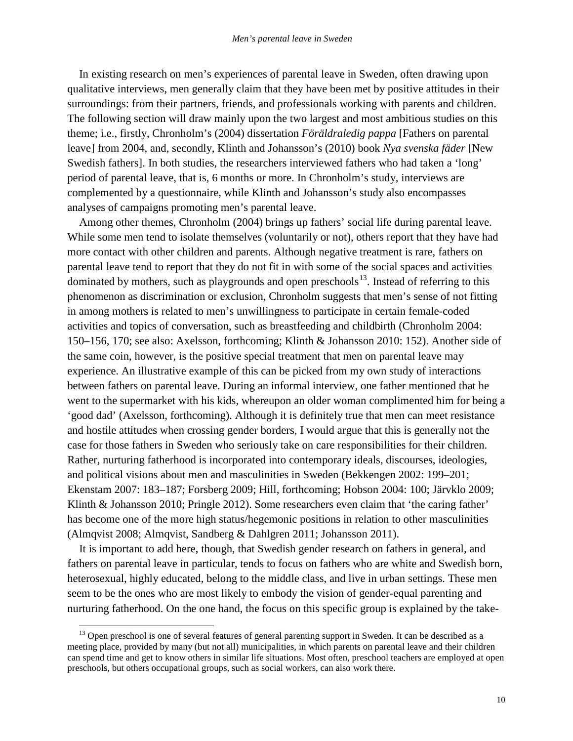In existing research on men's experiences of parental leave in Sweden, often drawing upon qualitative interviews, men generally claim that they have been met by positive attitudes in their surroundings: from their partners, friends, and professionals working with parents and children. The following section will draw mainly upon the two largest and most ambitious studies on this theme; i.e., firstly, Chronholm's (2004) dissertation *Föräldraledig pappa* [Fathers on parental leave] from 2004, and, secondly, Klinth and Johansson's (2010) book *Nya svenska fäder* [New Swedish fathers]. In both studies, the researchers interviewed fathers who had taken a 'long' period of parental leave, that is, 6 months or more. In Chronholm's study, interviews are complemented by a questionnaire, while Klinth and Johansson's study also encompasses analyses of campaigns promoting men's parental leave.

Among other themes, Chronholm (2004) brings up fathers' social life during parental leave. While some men tend to isolate themselves (voluntarily or not), others report that they have had more contact with other children and parents. Although negative treatment is rare, fathers on parental leave tend to report that they do not fit in with some of the social spaces and activities dominated by mothers, such as playgrounds and open preschools<sup>[13](#page-13-0)</sup>. Instead of referring to this phenomenon as discrimination or exclusion, Chronholm suggests that men's sense of not fitting in among mothers is related to men's unwillingness to participate in certain female-coded activities and topics of conversation, such as breastfeeding and childbirth (Chronholm 2004: 150–156, 170; see also: Axelsson, forthcoming; Klinth & Johansson 2010: 152). Another side of the same coin, however, is the positive special treatment that men on parental leave may experience. An illustrative example of this can be picked from my own study of interactions between fathers on parental leave. During an informal interview, one father mentioned that he went to the supermarket with his kids, whereupon an older woman complimented him for being a 'good dad' (Axelsson, forthcoming). Although it is definitely true that men can meet resistance and hostile attitudes when crossing gender borders, I would argue that this is generally not the case for those fathers in Sweden who seriously take on care responsibilities for their children. Rather, nurturing fatherhood is incorporated into contemporary ideals, discourses, ideologies, and political visions about men and masculinities in Sweden (Bekkengen 2002: 199–201; Ekenstam 2007: 183–187; Forsberg 2009; Hill, forthcoming; Hobson 2004: 100; Järvklo 2009; Klinth & Johansson 2010; Pringle 2012). Some researchers even claim that 'the caring father' has become one of the more high status/hegemonic positions in relation to other masculinities (Almqvist 2008; Almqvist, Sandberg & Dahlgren 2011; Johansson 2011).

It is important to add here, though, that Swedish gender research on fathers in general, and fathers on parental leave in particular, tends to focus on fathers who are white and Swedish born, heterosexual, highly educated, belong to the middle class, and live in urban settings. These men seem to be the ones who are most likely to embody the vision of gender-equal parenting and nurturing fatherhood. On the one hand, the focus on this specific group is explained by the take-

<span id="page-13-0"></span><sup>&</sup>lt;sup>13</sup> Open preschool is one of several features of general parenting support in Sweden. It can be described as a meeting place, provided by many (but not all) municipalities, in which parents on parental leave and their children can spend time and get to know others in similar life situations. Most often, preschool teachers are employed at open preschools, but others occupational groups, such as social workers, can also work there.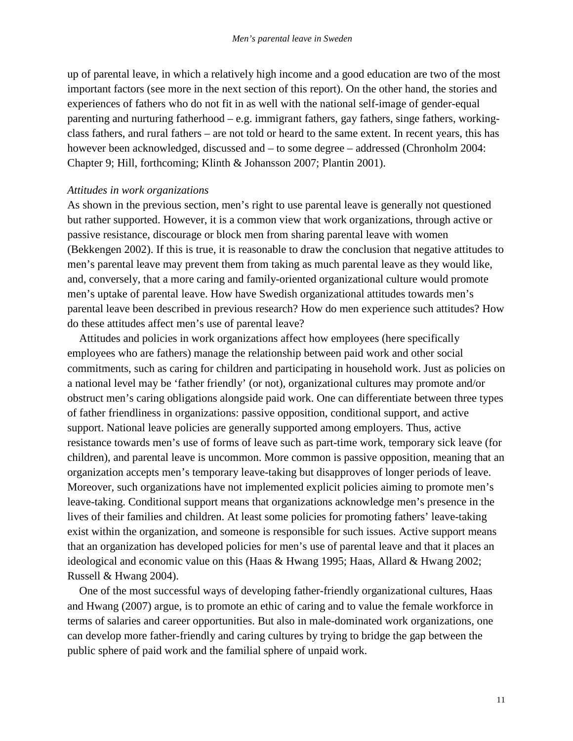up of parental leave, in which a relatively high income and a good education are two of the most important factors (see more in the next section of this report). On the other hand, the stories and experiences of fathers who do not fit in as well with the national self-image of gender-equal parenting and nurturing fatherhood – e.g. immigrant fathers, gay fathers, singe fathers, workingclass fathers, and rural fathers – are not told or heard to the same extent. In recent years, this has however been acknowledged, discussed and – to some degree – addressed (Chronholm 2004: Chapter 9; Hill, forthcoming; Klinth & Johansson 2007; Plantin 2001).

### *Attitudes in work organizations*

As shown in the previous section, men's right to use parental leave is generally not questioned but rather supported. However, it is a common view that work organizations, through active or passive resistance, discourage or block men from sharing parental leave with women (Bekkengen 2002). If this is true, it is reasonable to draw the conclusion that negative attitudes to men's parental leave may prevent them from taking as much parental leave as they would like, and, conversely, that a more caring and family-oriented organizational culture would promote men's uptake of parental leave. How have Swedish organizational attitudes towards men's parental leave been described in previous research? How do men experience such attitudes? How do these attitudes affect men's use of parental leave?

Attitudes and policies in work organizations affect how employees (here specifically employees who are fathers) manage the relationship between paid work and other social commitments, such as caring for children and participating in household work. Just as policies on a national level may be 'father friendly' (or not), organizational cultures may promote and/or obstruct men's caring obligations alongside paid work. One can differentiate between three types of father friendliness in organizations: passive opposition, conditional support, and active support. National leave policies are generally supported among employers. Thus, active resistance towards men's use of forms of leave such as part-time work, temporary sick leave (for children), and parental leave is uncommon. More common is passive opposition, meaning that an organization accepts men's temporary leave-taking but disapproves of longer periods of leave. Moreover, such organizations have not implemented explicit policies aiming to promote men's leave-taking. Conditional support means that organizations acknowledge men's presence in the lives of their families and children. At least some policies for promoting fathers' leave-taking exist within the organization, and someone is responsible for such issues. Active support means that an organization has developed policies for men's use of parental leave and that it places an ideological and economic value on this (Haas & Hwang 1995; Haas, Allard & Hwang 2002; Russell & Hwang 2004).

One of the most successful ways of developing father-friendly organizational cultures, Haas and Hwang (2007) argue, is to promote an ethic of caring and to value the female workforce in terms of salaries and career opportunities. But also in male-dominated work organizations, one can develop more father-friendly and caring cultures by trying to bridge the gap between the public sphere of paid work and the familial sphere of unpaid work.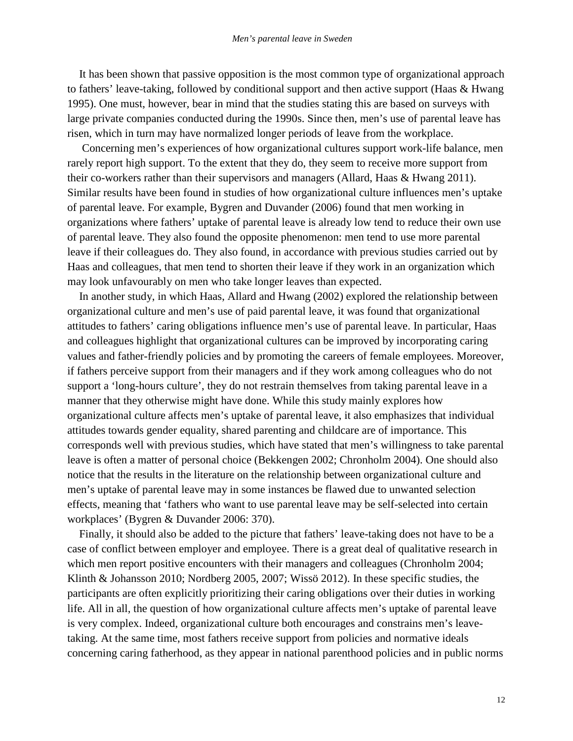It has been shown that passive opposition is the most common type of organizational approach to fathers' leave-taking, followed by conditional support and then active support (Haas & Hwang 1995). One must, however, bear in mind that the studies stating this are based on surveys with large private companies conducted during the 1990s. Since then, men's use of parental leave has risen, which in turn may have normalized longer periods of leave from the workplace.

Concerning men's experiences of how organizational cultures support work-life balance, men rarely report high support. To the extent that they do, they seem to receive more support from their co-workers rather than their supervisors and managers (Allard, Haas & Hwang 2011). Similar results have been found in studies of how organizational culture influences men's uptake of parental leave. For example, Bygren and Duvander (2006) found that men working in organizations where fathers' uptake of parental leave is already low tend to reduce their own use of parental leave. They also found the opposite phenomenon: men tend to use more parental leave if their colleagues do. They also found, in accordance with previous studies carried out by Haas and colleagues, that men tend to shorten their leave if they work in an organization which may look unfavourably on men who take longer leaves than expected.

In another study, in which Haas, Allard and Hwang (2002) explored the relationship between organizational culture and men's use of paid parental leave, it was found that organizational attitudes to fathers' caring obligations influence men's use of parental leave. In particular, Haas and colleagues highlight that organizational cultures can be improved by incorporating caring values and father-friendly policies and by promoting the careers of female employees. Moreover, if fathers perceive support from their managers and if they work among colleagues who do not support a 'long-hours culture', they do not restrain themselves from taking parental leave in a manner that they otherwise might have done. While this study mainly explores how organizational culture affects men's uptake of parental leave, it also emphasizes that individual attitudes towards gender equality, shared parenting and childcare are of importance. This corresponds well with previous studies, which have stated that men's willingness to take parental leave is often a matter of personal choice (Bekkengen 2002; Chronholm 2004). One should also notice that the results in the literature on the relationship between organizational culture and men's uptake of parental leave may in some instances be flawed due to unwanted selection effects, meaning that 'fathers who want to use parental leave may be self-selected into certain workplaces' (Bygren & Duvander 2006: 370).

Finally, it should also be added to the picture that fathers' leave-taking does not have to be a case of conflict between employer and employee. There is a great deal of qualitative research in which men report positive encounters with their managers and colleagues (Chronholm 2004; Klinth & Johansson 2010; Nordberg 2005, 2007; Wissö 2012). In these specific studies, the participants are often explicitly prioritizing their caring obligations over their duties in working life. All in all, the question of how organizational culture affects men's uptake of parental leave is very complex. Indeed, organizational culture both encourages and constrains men's leavetaking. At the same time, most fathers receive support from policies and normative ideals concerning caring fatherhood, as they appear in national parenthood policies and in public norms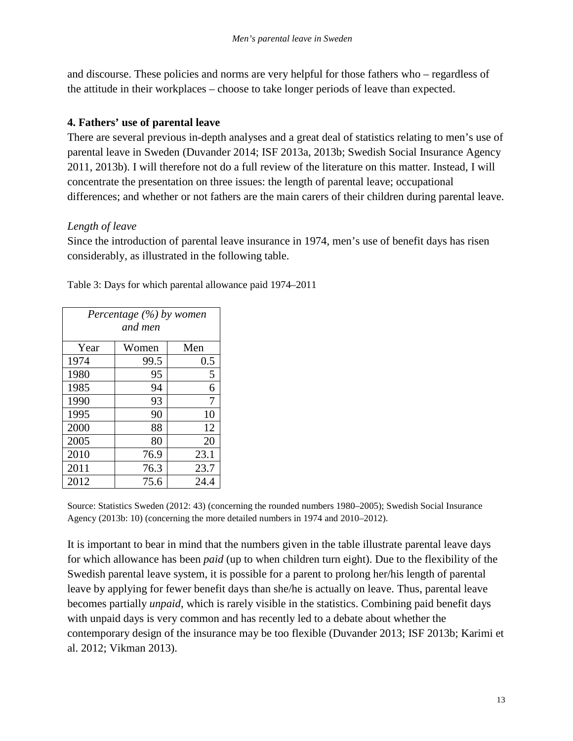and discourse. These policies and norms are very helpful for those fathers who – regardless of the attitude in their workplaces – choose to take longer periods of leave than expected.

## **4. Fathers' use of parental leave**

There are several previous in-depth analyses and a great deal of statistics relating to men's use of parental leave in Sweden (Duvander 2014; ISF 2013a, 2013b; Swedish Social Insurance Agency 2011, 2013b). I will therefore not do a full review of the literature on this matter. Instead, I will concentrate the presentation on three issues: the length of parental leave; occupational differences; and whether or not fathers are the main carers of their children during parental leave.

## *Length of leave*

Since the introduction of parental leave insurance in 1974, men's use of benefit days has risen considerably, as illustrated in the following table.

| Percentage $(\%)$ by women<br>and men |       |      |  |
|---------------------------------------|-------|------|--|
| Year                                  | Women | Men  |  |
| 1974                                  | 99.5  | 0.5  |  |
| 1980                                  | 95    | 5    |  |
| 1985                                  | 94    | 6    |  |
| 1990                                  | 93    | 7    |  |
| 1995                                  | 90    | 10   |  |
| 2000                                  | 88    | 12   |  |
| 2005                                  | 80    | 20   |  |
| 2010                                  | 76.9  | 23.1 |  |
| 2011                                  | 76.3  | 23.7 |  |
| 2012                                  | 75.6  | 24.4 |  |

Table 3: Days for which parental allowance paid 1974–2011

Source: Statistics Sweden (2012: 43) (concerning the rounded numbers 1980–2005); Swedish Social Insurance Agency (2013b: 10) (concerning the more detailed numbers in 1974 and 2010–2012).

It is important to bear in mind that the numbers given in the table illustrate parental leave days for which allowance has been *paid* (up to when children turn eight). Due to the flexibility of the Swedish parental leave system, it is possible for a parent to prolong her/his length of parental leave by applying for fewer benefit days than she/he is actually on leave. Thus, parental leave becomes partially *unpaid*, which is rarely visible in the statistics. Combining paid benefit days with unpaid days is very common and has recently led to a debate about whether the contemporary design of the insurance may be too flexible (Duvander 2013; ISF 2013b; Karimi et al. 2012; Vikman 2013).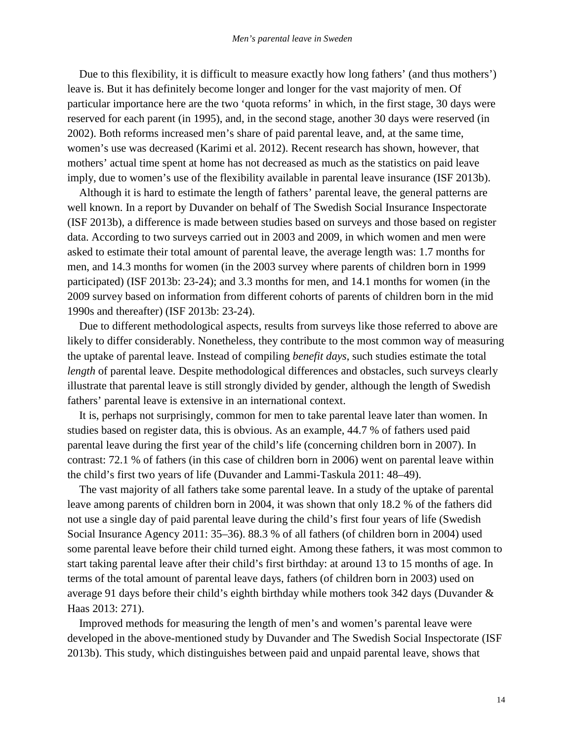Due to this flexibility, it is difficult to measure exactly how long fathers' (and thus mothers') leave is. But it has definitely become longer and longer for the vast majority of men. Of particular importance here are the two 'quota reforms' in which, in the first stage, 30 days were reserved for each parent (in 1995), and, in the second stage, another 30 days were reserved (in 2002). Both reforms increased men's share of paid parental leave, and, at the same time, women's use was decreased (Karimi et al. 2012). Recent research has shown, however, that mothers' actual time spent at home has not decreased as much as the statistics on paid leave imply, due to women's use of the flexibility available in parental leave insurance (ISF 2013b).

Although it is hard to estimate the length of fathers' parental leave, the general patterns are well known. In a report by Duvander on behalf of The Swedish Social Insurance Inspectorate (ISF 2013b), a difference is made between studies based on surveys and those based on register data. According to two surveys carried out in 2003 and 2009, in which women and men were asked to estimate their total amount of parental leave, the average length was: 1.7 months for men, and 14.3 months for women (in the 2003 survey where parents of children born in 1999 participated) (ISF 2013b: 23-24); and 3.3 months for men, and 14.1 months for women (in the 2009 survey based on information from different cohorts of parents of children born in the mid 1990s and thereafter) (ISF 2013b: 23-24).

Due to different methodological aspects, results from surveys like those referred to above are likely to differ considerably. Nonetheless, they contribute to the most common way of measuring the uptake of parental leave. Instead of compiling *benefit days*, such studies estimate the total *length* of parental leave. Despite methodological differences and obstacles, such surveys clearly illustrate that parental leave is still strongly divided by gender, although the length of Swedish fathers' parental leave is extensive in an international context.

It is, perhaps not surprisingly, common for men to take parental leave later than women. In studies based on register data, this is obvious. As an example, 44.7 % of fathers used paid parental leave during the first year of the child's life (concerning children born in 2007). In contrast: 72.1 % of fathers (in this case of children born in 2006) went on parental leave within the child's first two years of life (Duvander and Lammi-Taskula 2011: 48–49).

The vast majority of all fathers take some parental leave. In a study of the uptake of parental leave among parents of children born in 2004, it was shown that only 18.2 % of the fathers did not use a single day of paid parental leave during the child's first four years of life (Swedish Social Insurance Agency 2011: 35–36). 88.3 % of all fathers (of children born in 2004) used some parental leave before their child turned eight. Among these fathers, it was most common to start taking parental leave after their child's first birthday: at around 13 to 15 months of age. In terms of the total amount of parental leave days, fathers (of children born in 2003) used on average 91 days before their child's eighth birthday while mothers took 342 days (Duvander & Haas 2013: 271).

Improved methods for measuring the length of men's and women's parental leave were developed in the above-mentioned study by Duvander and The Swedish Social Inspectorate (ISF 2013b). This study, which distinguishes between paid and unpaid parental leave, shows that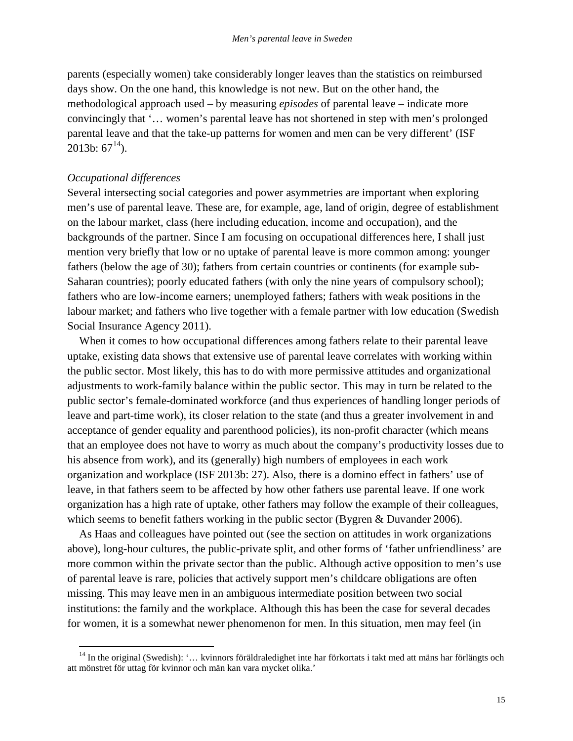parents (especially women) take considerably longer leaves than the statistics on reimbursed days show. On the one hand, this knowledge is not new. But on the other hand, the methodological approach used – by measuring *episodes* of parental leave – indicate more convincingly that '… women's parental leave has not shortened in step with men's prolonged parental leave and that the take-up patterns for women and men can be very different' (ISF 2013b:  $67^{14}$  $67^{14}$  $67^{14}$ ).

#### *Occupational differences*

Several intersecting social categories and power asymmetries are important when exploring men's use of parental leave. These are, for example, age, land of origin, degree of establishment on the labour market, class (here including education, income and occupation), and the backgrounds of the partner. Since I am focusing on occupational differences here, I shall just mention very briefly that low or no uptake of parental leave is more common among: younger fathers (below the age of 30); fathers from certain countries or continents (for example sub-Saharan countries); poorly educated fathers (with only the nine years of compulsory school); fathers who are low-income earners; unemployed fathers; fathers with weak positions in the labour market; and fathers who live together with a female partner with low education (Swedish Social Insurance Agency 2011).

When it comes to how occupational differences among fathers relate to their parental leave uptake, existing data shows that extensive use of parental leave correlates with working within the public sector. Most likely, this has to do with more permissive attitudes and organizational adjustments to work-family balance within the public sector. This may in turn be related to the public sector's female-dominated workforce (and thus experiences of handling longer periods of leave and part-time work), its closer relation to the state (and thus a greater involvement in and acceptance of gender equality and parenthood policies), its non-profit character (which means that an employee does not have to worry as much about the company's productivity losses due to his absence from work), and its (generally) high numbers of employees in each work organization and workplace (ISF 2013b: 27). Also, there is a domino effect in fathers' use of leave, in that fathers seem to be affected by how other fathers use parental leave. If one work organization has a high rate of uptake, other fathers may follow the example of their colleagues, which seems to benefit fathers working in the public sector (Bygren & Duvander 2006).

As Haas and colleagues have pointed out (see the section on attitudes in work organizations above), long-hour cultures, the public-private split, and other forms of 'father unfriendliness' are more common within the private sector than the public. Although active opposition to men's use of parental leave is rare, policies that actively support men's childcare obligations are often missing. This may leave men in an ambiguous intermediate position between two social institutions: the family and the workplace. Although this has been the case for several decades for women, it is a somewhat newer phenomenon for men. In this situation, men may feel (in

<span id="page-18-0"></span><sup>&</sup>lt;sup>14</sup> In the original (Swedish): '... kvinnors föräldraledighet inte har förkortats i takt med att mäns har förlängts och att mönstret för uttag för kvinnor och män kan vara mycket olika.'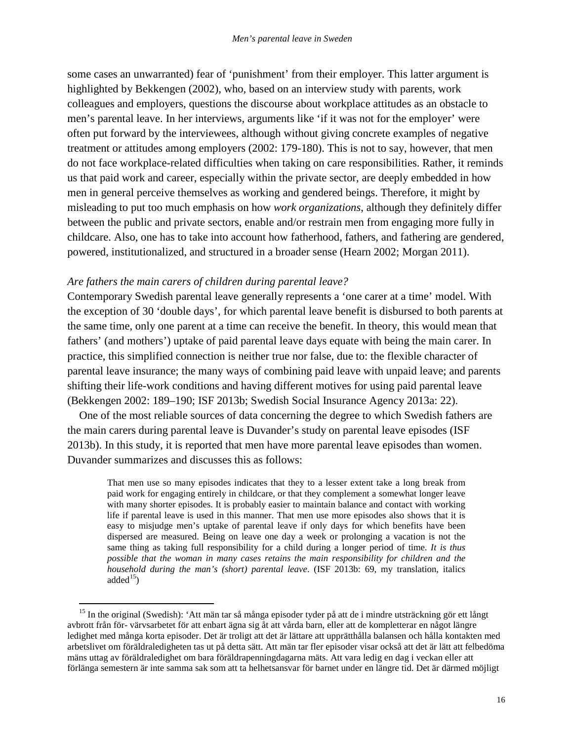some cases an unwarranted) fear of 'punishment' from their employer. This latter argument is highlighted by Bekkengen (2002), who, based on an interview study with parents, work colleagues and employers, questions the discourse about workplace attitudes as an obstacle to men's parental leave. In her interviews, arguments like 'if it was not for the employer' were often put forward by the interviewees, although without giving concrete examples of negative treatment or attitudes among employers (2002: 179-180). This is not to say, however, that men do not face workplace-related difficulties when taking on care responsibilities. Rather, it reminds us that paid work and career, especially within the private sector, are deeply embedded in how men in general perceive themselves as working and gendered beings. Therefore, it might by misleading to put too much emphasis on how *work organizations*, although they definitely differ between the public and private sectors, enable and/or restrain men from engaging more fully in childcare. Also, one has to take into account how fatherhood, fathers, and fathering are gendered, powered, institutionalized, and structured in a broader sense (Hearn 2002; Morgan 2011).

## *Are fathers the main carers of children during parental leave?*

Contemporary Swedish parental leave generally represents a 'one carer at a time' model. With the exception of 30 'double days', for which parental leave benefit is disbursed to both parents at the same time, only one parent at a time can receive the benefit. In theory, this would mean that fathers' (and mothers') uptake of paid parental leave days equate with being the main carer. In practice, this simplified connection is neither true nor false, due to: the flexible character of parental leave insurance; the many ways of combining paid leave with unpaid leave; and parents shifting their life-work conditions and having different motives for using paid parental leave (Bekkengen 2002: 189–190; ISF 2013b; Swedish Social Insurance Agency 2013a: 22).

One of the most reliable sources of data concerning the degree to which Swedish fathers are the main carers during parental leave is Duvander's study on parental leave episodes (ISF 2013b). In this study, it is reported that men have more parental leave episodes than women. Duvander summarizes and discusses this as follows:

That men use so many episodes indicates that they to a lesser extent take a long break from paid work for engaging entirely in childcare, or that they complement a somewhat longer leave with many shorter episodes. It is probably easier to maintain balance and contact with working life if parental leave is used in this manner. That men use more episodes also shows that it is easy to misjudge men's uptake of parental leave if only days for which benefits have been dispersed are measured. Being on leave one day a week or prolonging a vacation is not the same thing as taking full responsibility for a child during a longer period of time. *It is thus possible that the woman in many cases retains the main responsibility for children and the household during the man's (short) parental leave*. (ISF 2013b: 69, my translation, italics added $^{15}$  $^{15}$  $^{15}$ )

<span id="page-19-0"></span><sup>&</sup>lt;sup>15</sup> In the original (Swedish): 'Att män tar så många episoder tyder på att de i mindre utsträckning gör ett långt avbrott från för- värvsarbetet för att enbart ägna sig åt att vårda barn, eller att de kompletterar en något längre ledighet med många korta episoder. Det är troligt att det är lättare att upprätthålla balansen och hålla kontakten med arbetslivet om föräldraledigheten tas ut på detta sätt. Att män tar fler episoder visar också att det är lätt att felbedöma mäns uttag av föräldraledighet om bara föräldrapenningdagarna mäts. Att vara ledig en dag i veckan eller att förlänga semestern är inte samma sak som att ta helhetsansvar för barnet under en längre tid. Det är därmed möjligt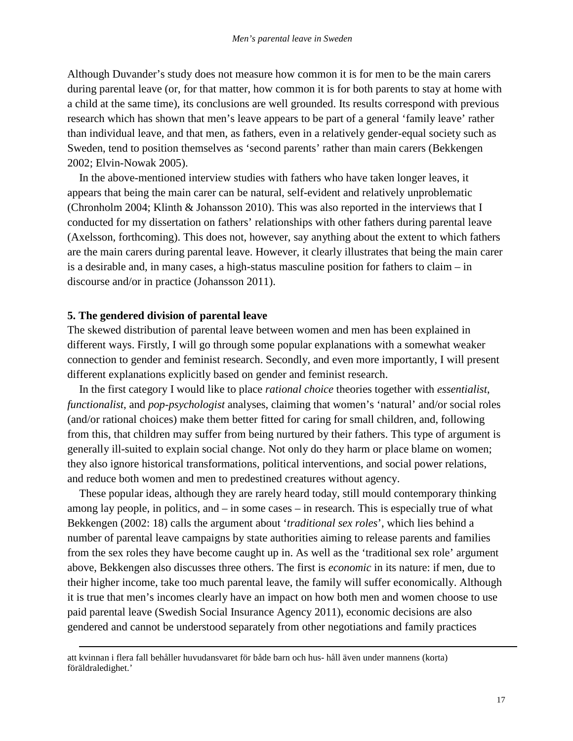Although Duvander's study does not measure how common it is for men to be the main carers during parental leave (or, for that matter, how common it is for both parents to stay at home with a child at the same time), its conclusions are well grounded. Its results correspond with previous research which has shown that men's leave appears to be part of a general 'family leave' rather than individual leave, and that men, as fathers, even in a relatively gender-equal society such as Sweden, tend to position themselves as 'second parents' rather than main carers (Bekkengen 2002; Elvin-Nowak 2005).

In the above-mentioned interview studies with fathers who have taken longer leaves, it appears that being the main carer can be natural, self-evident and relatively unproblematic (Chronholm 2004; Klinth & Johansson 2010). This was also reported in the interviews that I conducted for my dissertation on fathers' relationships with other fathers during parental leave (Axelsson, forthcoming). This does not, however, say anything about the extent to which fathers are the main carers during parental leave. However, it clearly illustrates that being the main carer is a desirable and, in many cases, a high-status masculine position for fathers to claim – in discourse and/or in practice (Johansson 2011).

## **5. The gendered division of parental leave**

-

The skewed distribution of parental leave between women and men has been explained in different ways. Firstly, I will go through some popular explanations with a somewhat weaker connection to gender and feminist research. Secondly, and even more importantly, I will present different explanations explicitly based on gender and feminist research.

In the first category I would like to place *rational choice* theories together with *essentialist*, *functionalist*, and *pop-psychologist* analyses, claiming that women's 'natural' and/or social roles (and/or rational choices) make them better fitted for caring for small children, and, following from this, that children may suffer from being nurtured by their fathers. This type of argument is generally ill-suited to explain social change. Not only do they harm or place blame on women; they also ignore historical transformations, political interventions, and social power relations, and reduce both women and men to predestined creatures without agency.

These popular ideas, although they are rarely heard today, still mould contemporary thinking among lay people, in politics, and – in some cases – in research. This is especially true of what Bekkengen (2002: 18) calls the argument about '*traditional sex roles*', which lies behind a number of parental leave campaigns by state authorities aiming to release parents and families from the sex roles they have become caught up in. As well as the 'traditional sex role' argument above, Bekkengen also discusses three others. The first is *economic* in its nature: if men, due to their higher income, take too much parental leave, the family will suffer economically. Although it is true that men's incomes clearly have an impact on how both men and women choose to use paid parental leave (Swedish Social Insurance Agency 2011), economic decisions are also gendered and cannot be understood separately from other negotiations and family practices

att kvinnan i flera fall behåller huvudansvaret för både barn och hus- håll även under mannens (korta) föräldraledighet.'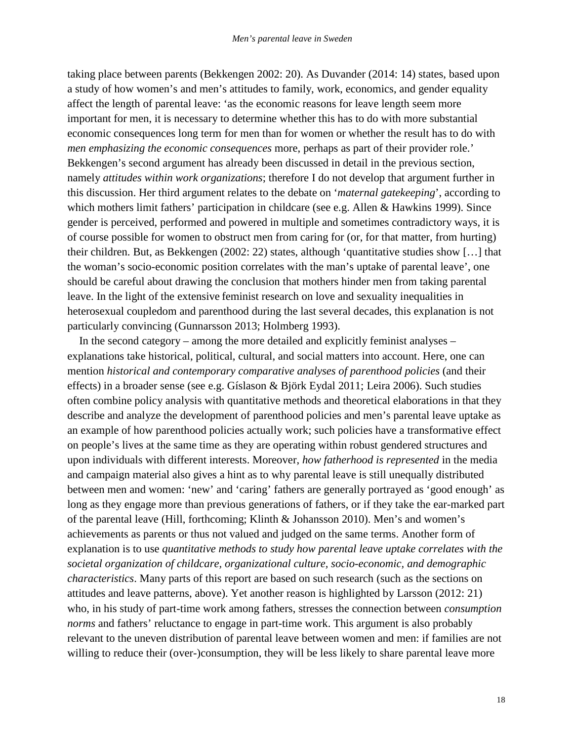taking place between parents (Bekkengen 2002: 20). As Duvander (2014: 14) states, based upon a study of how women's and men's attitudes to family, work, economics, and gender equality affect the length of parental leave: 'as the economic reasons for leave length seem more important for men, it is necessary to determine whether this has to do with more substantial economic consequences long term for men than for women or whether the result has to do with *men emphasizing the economic consequences* more, perhaps as part of their provider role.' Bekkengen's second argument has already been discussed in detail in the previous section, namely *attitudes within work organizations*; therefore I do not develop that argument further in this discussion. Her third argument relates to the debate on '*maternal gatekeeping*', according to which mothers limit fathers' participation in childcare (see e.g. Allen & Hawkins 1999). Since gender is perceived, performed and powered in multiple and sometimes contradictory ways, it is of course possible for women to obstruct men from caring for (or, for that matter, from hurting) their children. But, as Bekkengen (2002: 22) states, although 'quantitative studies show […] that the woman's socio-economic position correlates with the man's uptake of parental leave', one should be careful about drawing the conclusion that mothers hinder men from taking parental leave. In the light of the extensive feminist research on love and sexuality inequalities in heterosexual coupledom and parenthood during the last several decades, this explanation is not particularly convincing (Gunnarsson 2013; Holmberg 1993).

In the second category – among the more detailed and explicitly feminist analyses – explanations take historical, political, cultural, and social matters into account. Here, one can mention *historical and contemporary comparative analyses of parenthood policies* (and their effects) in a broader sense (see e.g. Gíslason & Björk Eydal 2011; Leira 2006). Such studies often combine policy analysis with quantitative methods and theoretical elaborations in that they describe and analyze the development of parenthood policies and men's parental leave uptake as an example of how parenthood policies actually work; such policies have a transformative effect on people's lives at the same time as they are operating within robust gendered structures and upon individuals with different interests. Moreover, *how fatherhood is represented* in the media and campaign material also gives a hint as to why parental leave is still unequally distributed between men and women: 'new' and 'caring' fathers are generally portrayed as 'good enough' as long as they engage more than previous generations of fathers, or if they take the ear-marked part of the parental leave (Hill, forthcoming; Klinth & Johansson 2010). Men's and women's achievements as parents or thus not valued and judged on the same terms. Another form of explanation is to use *quantitative methods to study how parental leave uptake correlates with the societal organization of childcare, organizational culture, socio-economic, and demographic characteristics*. Many parts of this report are based on such research (such as the sections on attitudes and leave patterns, above). Yet another reason is highlighted by Larsson (2012: 21) who, in his study of part-time work among fathers, stresses the connection between *consumption norms* and fathers' reluctance to engage in part-time work. This argument is also probably relevant to the uneven distribution of parental leave between women and men: if families are not willing to reduce their (over-)consumption, they will be less likely to share parental leave more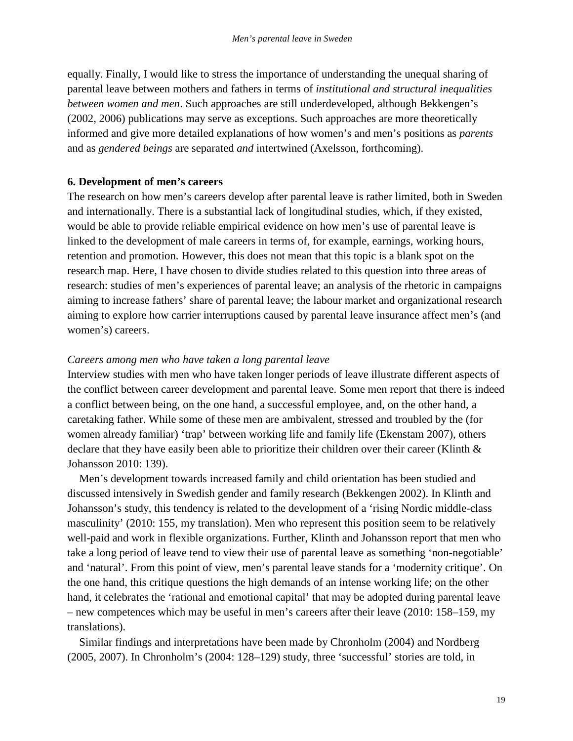equally. Finally, I would like to stress the importance of understanding the unequal sharing of parental leave between mothers and fathers in terms of *institutional and structural inequalities between women and men*. Such approaches are still underdeveloped, although Bekkengen's (2002, 2006) publications may serve as exceptions. Such approaches are more theoretically informed and give more detailed explanations of how women's and men's positions as *parents* and as *gendered beings* are separated *and* intertwined (Axelsson, forthcoming).

## **6. Development of men's careers**

The research on how men's careers develop after parental leave is rather limited, both in Sweden and internationally. There is a substantial lack of longitudinal studies, which, if they existed, would be able to provide reliable empirical evidence on how men's use of parental leave is linked to the development of male careers in terms of, for example, earnings, working hours, retention and promotion. However, this does not mean that this topic is a blank spot on the research map. Here, I have chosen to divide studies related to this question into three areas of research: studies of men's experiences of parental leave; an analysis of the rhetoric in campaigns aiming to increase fathers' share of parental leave; the labour market and organizational research aiming to explore how carrier interruptions caused by parental leave insurance affect men's (and women's) careers.

## *Careers among men who have taken a long parental leave*

Interview studies with men who have taken longer periods of leave illustrate different aspects of the conflict between career development and parental leave. Some men report that there is indeed a conflict between being, on the one hand, a successful employee, and, on the other hand, a caretaking father. While some of these men are ambivalent, stressed and troubled by the (for women already familiar) 'trap' between working life and family life (Ekenstam 2007), others declare that they have easily been able to prioritize their children over their career (Klinth  $\&$ Johansson 2010: 139).

Men's development towards increased family and child orientation has been studied and discussed intensively in Swedish gender and family research (Bekkengen 2002). In Klinth and Johansson's study, this tendency is related to the development of a 'rising Nordic middle-class masculinity' (2010: 155, my translation). Men who represent this position seem to be relatively well-paid and work in flexible organizations. Further, Klinth and Johansson report that men who take a long period of leave tend to view their use of parental leave as something 'non-negotiable' and 'natural'. From this point of view, men's parental leave stands for a 'modernity critique'. On the one hand, this critique questions the high demands of an intense working life; on the other hand, it celebrates the 'rational and emotional capital' that may be adopted during parental leave – new competences which may be useful in men's careers after their leave (2010: 158–159, my translations).

Similar findings and interpretations have been made by Chronholm (2004) and Nordberg (2005, 2007). In Chronholm's (2004: 128–129) study, three 'successful' stories are told, in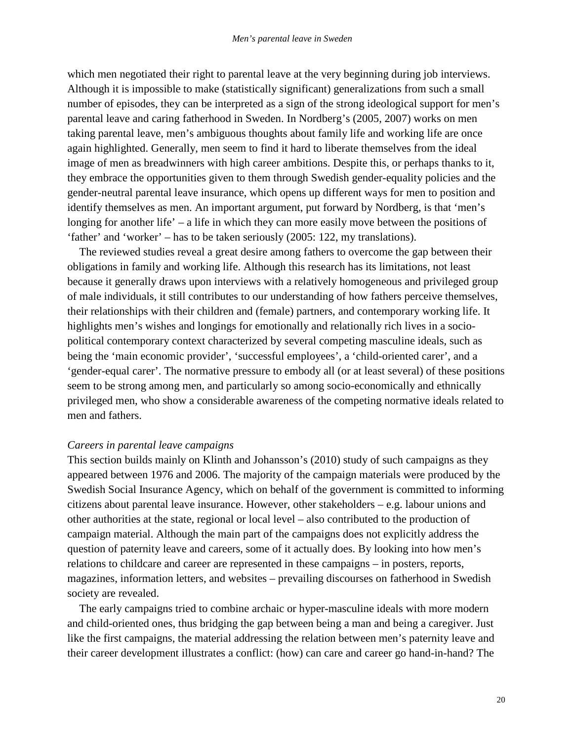which men negotiated their right to parental leave at the very beginning during job interviews. Although it is impossible to make (statistically significant) generalizations from such a small number of episodes, they can be interpreted as a sign of the strong ideological support for men's parental leave and caring fatherhood in Sweden. In Nordberg's (2005, 2007) works on men taking parental leave, men's ambiguous thoughts about family life and working life are once again highlighted. Generally, men seem to find it hard to liberate themselves from the ideal image of men as breadwinners with high career ambitions. Despite this, or perhaps thanks to it, they embrace the opportunities given to them through Swedish gender-equality policies and the gender-neutral parental leave insurance, which opens up different ways for men to position and identify themselves as men. An important argument, put forward by Nordberg, is that 'men's longing for another life' – a life in which they can more easily move between the positions of 'father' and 'worker' – has to be taken seriously (2005: 122, my translations).

The reviewed studies reveal a great desire among fathers to overcome the gap between their obligations in family and working life. Although this research has its limitations, not least because it generally draws upon interviews with a relatively homogeneous and privileged group of male individuals, it still contributes to our understanding of how fathers perceive themselves, their relationships with their children and (female) partners, and contemporary working life. It highlights men's wishes and longings for emotionally and relationally rich lives in a sociopolitical contemporary context characterized by several competing masculine ideals, such as being the 'main economic provider', 'successful employees', a 'child-oriented carer', and a 'gender-equal carer'. The normative pressure to embody all (or at least several) of these positions seem to be strong among men, and particularly so among socio-economically and ethnically privileged men, who show a considerable awareness of the competing normative ideals related to men and fathers.

## *Careers in parental leave campaigns*

This section builds mainly on Klinth and Johansson's (2010) study of such campaigns as they appeared between 1976 and 2006. The majority of the campaign materials were produced by the Swedish Social Insurance Agency, which on behalf of the government is committed to informing citizens about parental leave insurance. However, other stakeholders – e.g. labour unions and other authorities at the state, regional or local level – also contributed to the production of campaign material. Although the main part of the campaigns does not explicitly address the question of paternity leave and careers, some of it actually does. By looking into how men's relations to childcare and career are represented in these campaigns – in posters, reports, magazines, information letters, and websites – prevailing discourses on fatherhood in Swedish society are revealed.

The early campaigns tried to combine archaic or hyper-masculine ideals with more modern and child-oriented ones, thus bridging the gap between being a man and being a caregiver. Just like the first campaigns, the material addressing the relation between men's paternity leave and their career development illustrates a conflict: (how) can care and career go hand-in-hand? The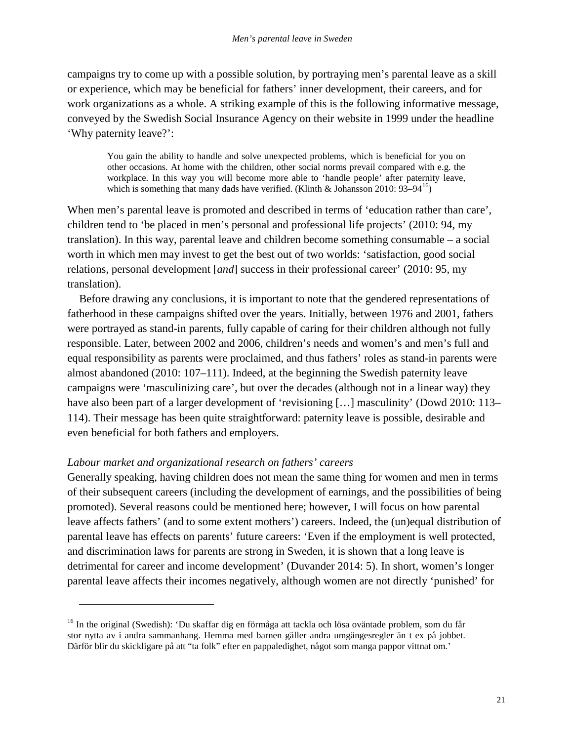campaigns try to come up with a possible solution, by portraying men's parental leave as a skill or experience, which may be beneficial for fathers' inner development, their careers, and for work organizations as a whole. A striking example of this is the following informative message, conveyed by the Swedish Social Insurance Agency on their website in 1999 under the headline 'Why paternity leave?':

You gain the ability to handle and solve unexpected problems, which is beneficial for you on other occasions. At home with the children, other social norms prevail compared with e.g. the workplace. In this way you will become more able to 'handle people' after paternity leave, which is something that many dads have verified. (Klinth & Johansson 2010:  $93-94^{16}$  $93-94^{16}$  $93-94^{16}$ )

When men's parental leave is promoted and described in terms of 'education rather than care', children tend to 'be placed in men's personal and professional life projects' (2010: 94, my translation). In this way, parental leave and children become something consumable – a social worth in which men may invest to get the best out of two worlds: 'satisfaction, good social relations, personal development [*and*] success in their professional career' (2010: 95, my translation).

Before drawing any conclusions, it is important to note that the gendered representations of fatherhood in these campaigns shifted over the years. Initially, between 1976 and 2001, fathers were portrayed as stand-in parents, fully capable of caring for their children although not fully responsible. Later, between 2002 and 2006, children's needs and women's and men's full and equal responsibility as parents were proclaimed, and thus fathers' roles as stand-in parents were almost abandoned (2010: 107–111). Indeed, at the beginning the Swedish paternity leave campaigns were 'masculinizing care', but over the decades (although not in a linear way) they have also been part of a larger development of 'revisioning [...] masculinity' (Dowd 2010: 113– 114). Their message has been quite straightforward: paternity leave is possible, desirable and even beneficial for both fathers and employers.

## *Labour market and organizational research on fathers' careers*

 $\overline{a}$ 

Generally speaking, having children does not mean the same thing for women and men in terms of their subsequent careers (including the development of earnings, and the possibilities of being promoted). Several reasons could be mentioned here; however, I will focus on how parental leave affects fathers' (and to some extent mothers') careers. Indeed, the (un)equal distribution of parental leave has effects on parents' future careers: 'Even if the employment is well protected, and discrimination laws for parents are strong in Sweden, it is shown that a long leave is detrimental for career and income development' (Duvander 2014: 5). In short, women's longer parental leave affects their incomes negatively, although women are not directly 'punished' for

<span id="page-24-0"></span><sup>&</sup>lt;sup>16</sup> In the original (Swedish): 'Du skaffar dig en förmåga att tackla och lösa oväntade problem, som du får stor nytta av i andra sammanhang. Hemma med barnen gäller andra umgängesregler än t ex på jobbet. Därför blir du skickligare på att "ta folk" efter en pappaledighet, något som manga pappor vittnat om.'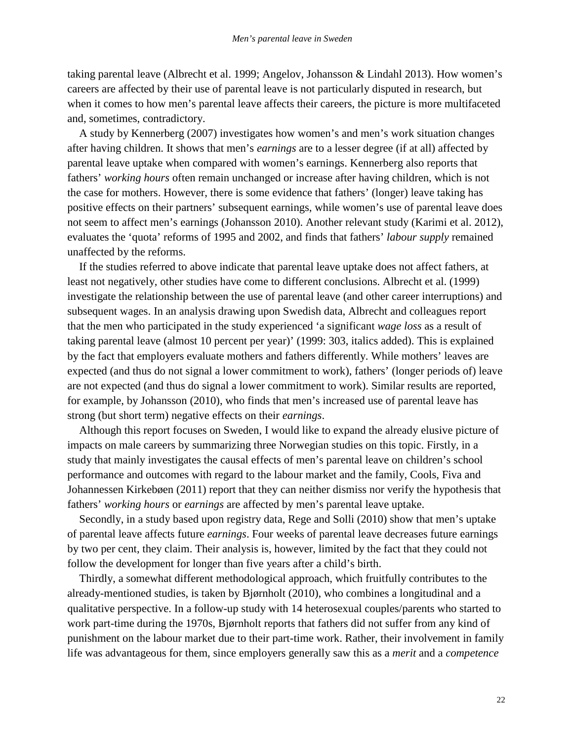taking parental leave (Albrecht et al. 1999; Angelov, Johansson & Lindahl 2013). How women's careers are affected by their use of parental leave is not particularly disputed in research, but when it comes to how men's parental leave affects their careers, the picture is more multifaceted and, sometimes, contradictory.

A study by Kennerberg (2007) investigates how women's and men's work situation changes after having children. It shows that men's *earnings* are to a lesser degree (if at all) affected by parental leave uptake when compared with women's earnings. Kennerberg also reports that fathers' *working hours* often remain unchanged or increase after having children, which is not the case for mothers. However, there is some evidence that fathers' (longer) leave taking has positive effects on their partners' subsequent earnings, while women's use of parental leave does not seem to affect men's earnings (Johansson 2010). Another relevant study (Karimi et al. 2012), evaluates the 'quota' reforms of 1995 and 2002, and finds that fathers' *labour supply* remained unaffected by the reforms.

If the studies referred to above indicate that parental leave uptake does not affect fathers, at least not negatively, other studies have come to different conclusions. Albrecht et al. (1999) investigate the relationship between the use of parental leave (and other career interruptions) and subsequent wages. In an analysis drawing upon Swedish data, Albrecht and colleagues report that the men who participated in the study experienced 'a significant *wage loss* as a result of taking parental leave (almost 10 percent per year)' (1999: 303, italics added). This is explained by the fact that employers evaluate mothers and fathers differently. While mothers' leaves are expected (and thus do not signal a lower commitment to work), fathers' (longer periods of) leave are not expected (and thus do signal a lower commitment to work). Similar results are reported, for example, by Johansson (2010), who finds that men's increased use of parental leave has strong (but short term) negative effects on their *earnings*.

Although this report focuses on Sweden, I would like to expand the already elusive picture of impacts on male careers by summarizing three Norwegian studies on this topic. Firstly, in a study that mainly investigates the causal effects of men's parental leave on children's school performance and outcomes with regard to the labour market and the family, Cools, Fiva and Johannessen Kirkebøen (2011) report that they can neither dismiss nor verify the hypothesis that fathers' *working hours* or *earnings* are affected by men's parental leave uptake.

Secondly, in a study based upon registry data, Rege and Solli (2010) show that men's uptake of parental leave affects future *earnings*. Four weeks of parental leave decreases future earnings by two per cent, they claim. Their analysis is, however, limited by the fact that they could not follow the development for longer than five years after a child's birth.

Thirdly, a somewhat different methodological approach, which fruitfully contributes to the already-mentioned studies, is taken by Bjørnholt (2010), who combines a longitudinal and a qualitative perspective. In a follow-up study with 14 heterosexual couples/parents who started to work part-time during the 1970s, Bjørnholt reports that fathers did not suffer from any kind of punishment on the labour market due to their part-time work. Rather, their involvement in family life was advantageous for them, since employers generally saw this as a *merit* and a *competence*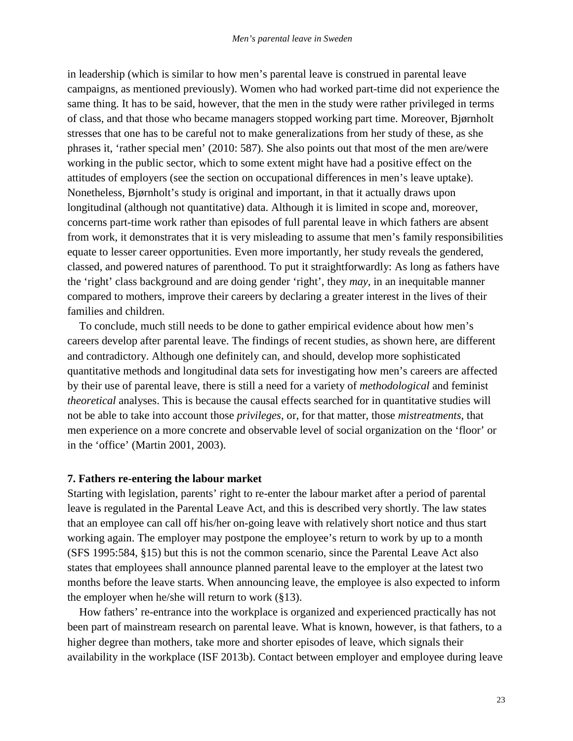in leadership (which is similar to how men's parental leave is construed in parental leave campaigns, as mentioned previously). Women who had worked part-time did not experience the same thing. It has to be said, however, that the men in the study were rather privileged in terms of class, and that those who became managers stopped working part time. Moreover, Bjørnholt stresses that one has to be careful not to make generalizations from her study of these, as she phrases it, 'rather special men' (2010: 587). She also points out that most of the men are/were working in the public sector, which to some extent might have had a positive effect on the attitudes of employers (see the section on occupational differences in men's leave uptake). Nonetheless, Bjørnholt's study is original and important, in that it actually draws upon longitudinal (although not quantitative) data. Although it is limited in scope and, moreover, concerns part-time work rather than episodes of full parental leave in which fathers are absent from work, it demonstrates that it is very misleading to assume that men's family responsibilities equate to lesser career opportunities. Even more importantly, her study reveals the gendered, classed, and powered natures of parenthood. To put it straightforwardly: As long as fathers have the 'right' class background and are doing gender 'right', they *may*, in an inequitable manner compared to mothers, improve their careers by declaring a greater interest in the lives of their families and children.

To conclude, much still needs to be done to gather empirical evidence about how men's careers develop after parental leave. The findings of recent studies, as shown here, are different and contradictory. Although one definitely can, and should, develop more sophisticated quantitative methods and longitudinal data sets for investigating how men's careers are affected by their use of parental leave, there is still a need for a variety of *methodological* and feminist *theoretical* analyses. This is because the causal effects searched for in quantitative studies will not be able to take into account those *privileges*, or, for that matter, those *mistreatments*, that men experience on a more concrete and observable level of social organization on the 'floor' or in the 'office' (Martin 2001, 2003).

#### **7. Fathers re-entering the labour market**

Starting with legislation, parents' right to re-enter the labour market after a period of parental leave is regulated in the Parental Leave Act, and this is described very shortly. The law states that an employee can call off his/her on-going leave with relatively short notice and thus start working again. The employer may postpone the employee's return to work by up to a month (SFS 1995:584, §15) but this is not the common scenario, since the Parental Leave Act also states that employees shall announce planned parental leave to the employer at the latest two months before the leave starts. When announcing leave, the employee is also expected to inform the employer when he/she will return to work  $(\S13)$ .

How fathers' re-entrance into the workplace is organized and experienced practically has not been part of mainstream research on parental leave. What is known, however, is that fathers, to a higher degree than mothers, take more and shorter episodes of leave, which signals their availability in the workplace (ISF 2013b). Contact between employer and employee during leave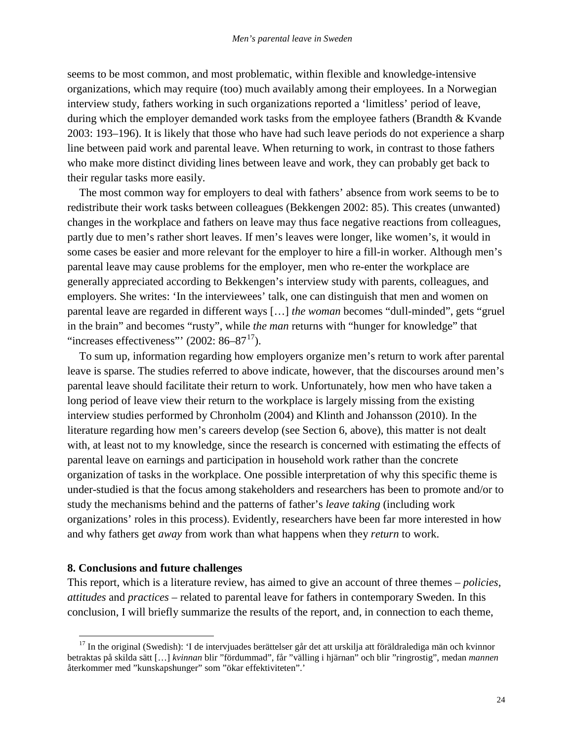seems to be most common, and most problematic, within flexible and knowledge-intensive organizations, which may require (too) much availably among their employees. In a Norwegian interview study, fathers working in such organizations reported a 'limitless' period of leave, during which the employer demanded work tasks from the employee fathers (Brandth & Kvande 2003: 193–196). It is likely that those who have had such leave periods do not experience a sharp line between paid work and parental leave. When returning to work, in contrast to those fathers who make more distinct dividing lines between leave and work, they can probably get back to their regular tasks more easily.

The most common way for employers to deal with fathers' absence from work seems to be to redistribute their work tasks between colleagues (Bekkengen 2002: 85). This creates (unwanted) changes in the workplace and fathers on leave may thus face negative reactions from colleagues, partly due to men's rather short leaves. If men's leaves were longer, like women's, it would in some cases be easier and more relevant for the employer to hire a fill-in worker. Although men's parental leave may cause problems for the employer, men who re-enter the workplace are generally appreciated according to Bekkengen's interview study with parents, colleagues, and employers. She writes: 'In the interviewees' talk, one can distinguish that men and women on parental leave are regarded in different ways […] *the woman* becomes "dull-minded", gets "gruel in the brain" and becomes "rusty", while *the man* returns with "hunger for knowledge" that "increases effectiveness"'  $(2002: 86-87<sup>17</sup>)$  $(2002: 86-87<sup>17</sup>)$  $(2002: 86-87<sup>17</sup>)$ .

To sum up, information regarding how employers organize men's return to work after parental leave is sparse. The studies referred to above indicate, however, that the discourses around men's parental leave should facilitate their return to work. Unfortunately, how men who have taken a long period of leave view their return to the workplace is largely missing from the existing interview studies performed by Chronholm (2004) and Klinth and Johansson (2010). In the literature regarding how men's careers develop (see Section 6, above), this matter is not dealt with, at least not to my knowledge, since the research is concerned with estimating the effects of parental leave on earnings and participation in household work rather than the concrete organization of tasks in the workplace. One possible interpretation of why this specific theme is under-studied is that the focus among stakeholders and researchers has been to promote and/or to study the mechanisms behind and the patterns of father's *leave taking* (including work organizations' roles in this process). Evidently, researchers have been far more interested in how and why fathers get *away* from work than what happens when they *return* to work.

## **8. Conclusions and future challenges**

This report, which is a literature review, has aimed to give an account of three themes – *policies*, *attitudes* and *practices* – related to parental leave for fathers in contemporary Sweden. In this conclusion, I will briefly summarize the results of the report, and, in connection to each theme,

<span id="page-27-0"></span> $17$  In the original (Swedish): 'I de intervjuades berättelser går det att urskilja att föräldralediga män och kvinnor betraktas på skilda sätt […] *kvinnan* blir "fördummad", får "välling i hjärnan" och blir "ringrostig", medan *mannen*  återkommer med "kunskapshunger" som "ökar effektiviteten".'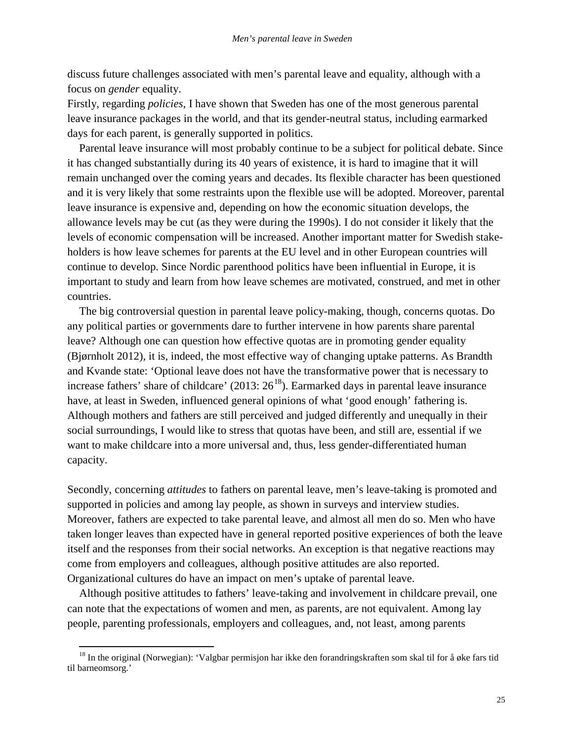discuss future challenges associated with men's parental leave and equality, although with a focus on *gender* equality.

Firstly, regarding *policies*, I have shown that Sweden has one of the most generous parental leave insurance packages in the world, and that its gender-neutral status, including earmarked days for each parent, is generally supported in politics.

Parental leave insurance will most probably continue to be a subject for political debate. Since it has changed substantially during its 40 years of existence, it is hard to imagine that it will remain unchanged over the coming years and decades. Its flexible character has been questioned and it is very likely that some restraints upon the flexible use will be adopted. Moreover, parental leave insurance is expensive and, depending on how the economic situation develops, the allowance levels may be cut (as they were during the 1990s). I do not consider it likely that the levels of economic compensation will be increased. Another important matter for Swedish stakeholders is how leave schemes for parents at the EU level and in other European countries will continue to develop. Since Nordic parenthood politics have been influential in Europe, it is important to study and learn from how leave schemes are motivated, construed, and met in other countries.

The big controversial question in parental leave policy-making, though, concerns quotas. Do any political parties or governments dare to further intervene in how parents share parental leave? Although one can question how effective quotas are in promoting gender equality (Bjørnholt 2012), it is, indeed, the most effective way of changing uptake patterns. As Brandth and Kvande state: 'Optional leave does not have the transformative power that is necessary to increase fathers' share of childcare' (2013:  $26^{18}$  $26^{18}$  $26^{18}$ ). Earmarked days in parental leave insurance have, at least in Sweden, influenced general opinions of what 'good enough' fathering is. Although mothers and fathers are still perceived and judged differently and unequally in their social surroundings, I would like to stress that quotas have been, and still are, essential if we want to make childcare into a more universal and, thus, less gender-differentiated human capacity.

Secondly, concerning *attitudes* to fathers on parental leave, men's leave-taking is promoted and supported in policies and among lay people, as shown in surveys and interview studies. Moreover, fathers are expected to take parental leave, and almost all men do so. Men who have taken longer leaves than expected have in general reported positive experiences of both the leave itself and the responses from their social networks. An exception is that negative reactions may come from employers and colleagues, although positive attitudes are also reported. Organizational cultures do have an impact on men's uptake of parental leave.

Although positive attitudes to fathers' leave-taking and involvement in childcare prevail, one can note that the expectations of women and men, as parents, are not equivalent. Among lay people, parenting professionals, employers and colleagues, and, not least, among parents

<span id="page-28-0"></span> $18$  In the original (Norwegian): 'Valgbar permisjon har ikke den forandringskraften som skal til for å øke fars tid til barneomsorg.'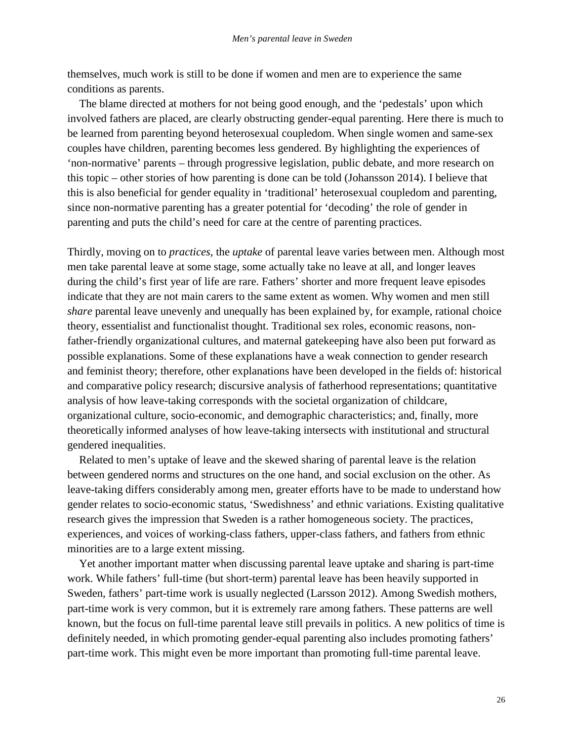themselves, much work is still to be done if women and men are to experience the same conditions as parents.

The blame directed at mothers for not being good enough, and the 'pedestals' upon which involved fathers are placed, are clearly obstructing gender-equal parenting. Here there is much to be learned from parenting beyond heterosexual coupledom. When single women and same-sex couples have children, parenting becomes less gendered. By highlighting the experiences of 'non-normative' parents – through progressive legislation, public debate, and more research on this topic – other stories of how parenting is done can be told (Johansson 2014). I believe that this is also beneficial for gender equality in 'traditional' heterosexual coupledom and parenting, since non-normative parenting has a greater potential for 'decoding' the role of gender in parenting and puts the child's need for care at the centre of parenting practices.

Thirdly, moving on to *practices*, the *uptake* of parental leave varies between men. Although most men take parental leave at some stage, some actually take no leave at all, and longer leaves during the child's first year of life are rare. Fathers' shorter and more frequent leave episodes indicate that they are not main carers to the same extent as women. Why women and men still *share* parental leave unevenly and unequally has been explained by, for example, rational choice theory, essentialist and functionalist thought. Traditional sex roles, economic reasons, nonfather-friendly organizational cultures, and maternal gatekeeping have also been put forward as possible explanations. Some of these explanations have a weak connection to gender research and feminist theory; therefore, other explanations have been developed in the fields of: historical and comparative policy research; discursive analysis of fatherhood representations; quantitative analysis of how leave-taking corresponds with the societal organization of childcare, organizational culture, socio-economic, and demographic characteristics; and, finally, more theoretically informed analyses of how leave-taking intersects with institutional and structural gendered inequalities.

Related to men's uptake of leave and the skewed sharing of parental leave is the relation between gendered norms and structures on the one hand, and social exclusion on the other. As leave-taking differs considerably among men, greater efforts have to be made to understand how gender relates to socio-economic status, 'Swedishness' and ethnic variations. Existing qualitative research gives the impression that Sweden is a rather homogeneous society. The practices, experiences, and voices of working-class fathers, upper-class fathers, and fathers from ethnic minorities are to a large extent missing.

Yet another important matter when discussing parental leave uptake and sharing is part-time work. While fathers' full-time (but short-term) parental leave has been heavily supported in Sweden, fathers' part-time work is usually neglected (Larsson 2012). Among Swedish mothers, part-time work is very common, but it is extremely rare among fathers. These patterns are well known, but the focus on full-time parental leave still prevails in politics. A new politics of time is definitely needed, in which promoting gender-equal parenting also includes promoting fathers' part-time work. This might even be more important than promoting full-time parental leave.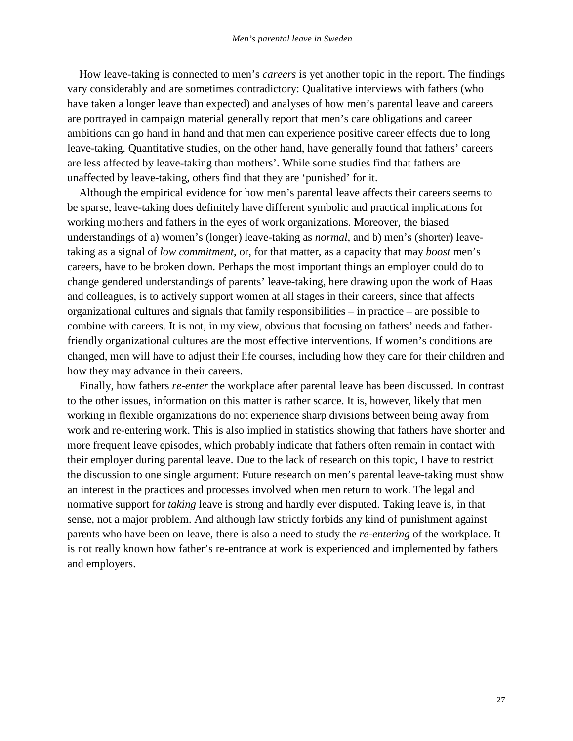How leave-taking is connected to men's *careers* is yet another topic in the report. The findings vary considerably and are sometimes contradictory: Qualitative interviews with fathers (who have taken a longer leave than expected) and analyses of how men's parental leave and careers are portrayed in campaign material generally report that men's care obligations and career ambitions can go hand in hand and that men can experience positive career effects due to long leave-taking. Quantitative studies, on the other hand, have generally found that fathers' careers are less affected by leave-taking than mothers'. While some studies find that fathers are unaffected by leave-taking, others find that they are 'punished' for it.

Although the empirical evidence for how men's parental leave affects their careers seems to be sparse, leave-taking does definitely have different symbolic and practical implications for working mothers and fathers in the eyes of work organizations. Moreover, the biased understandings of a) women's (longer) leave-taking as *normal*, and b) men's (shorter) leavetaking as a signal of *low commitment*, or, for that matter, as a capacity that may *boost* men's careers, have to be broken down. Perhaps the most important things an employer could do to change gendered understandings of parents' leave-taking, here drawing upon the work of Haas and colleagues, is to actively support women at all stages in their careers, since that affects organizational cultures and signals that family responsibilities – in practice – are possible to combine with careers. It is not, in my view, obvious that focusing on fathers' needs and fatherfriendly organizational cultures are the most effective interventions. If women's conditions are changed, men will have to adjust their life courses, including how they care for their children and how they may advance in their careers.

Finally, how fathers *re-enter* the workplace after parental leave has been discussed. In contrast to the other issues, information on this matter is rather scarce. It is, however, likely that men working in flexible organizations do not experience sharp divisions between being away from work and re-entering work. This is also implied in statistics showing that fathers have shorter and more frequent leave episodes, which probably indicate that fathers often remain in contact with their employer during parental leave. Due to the lack of research on this topic, I have to restrict the discussion to one single argument: Future research on men's parental leave-taking must show an interest in the practices and processes involved when men return to work. The legal and normative support for *taking* leave is strong and hardly ever disputed. Taking leave is, in that sense, not a major problem. And although law strictly forbids any kind of punishment against parents who have been on leave, there is also a need to study the *re-entering* of the workplace. It is not really known how father's re-entrance at work is experienced and implemented by fathers and employers.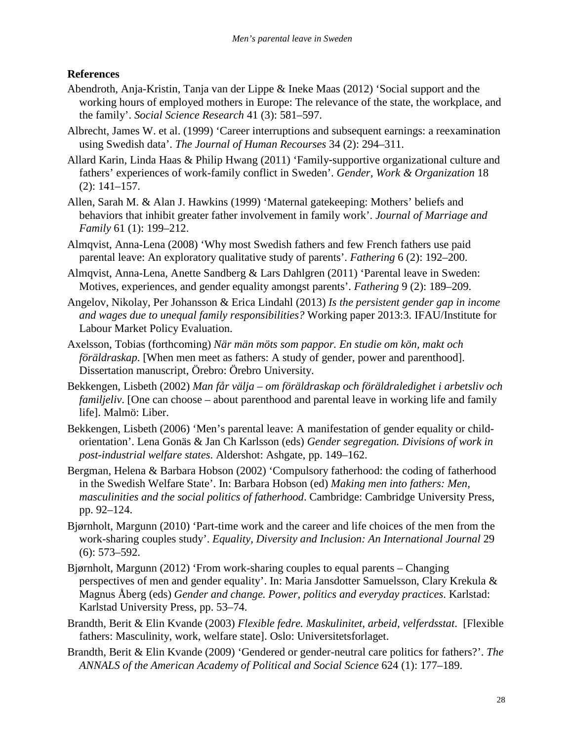## **References**

- Abendroth, Anja-Kristin, Tanja van der Lippe & Ineke Maas (2012) 'Social support and the working hours of employed mothers in Europe: The relevance of the state, the workplace, and the family'. *Social Science Research* 41 (3): 581–597.
- Albrecht, James W. et al. (1999) 'Career interruptions and subsequent earnings: a reexamination using Swedish data'. *The Journal of Human Recourses* 34 (2): 294–311.
- Allard Karin, Linda Haas & Philip Hwang (2011) 'Family-supportive organizational culture and fathers' experiences of work-family conflict in Sweden'. *Gender, Work & Organization* 18 (2): 141–157.
- Allen, Sarah M. & Alan J. Hawkins (1999) 'Maternal gatekeeping: Mothers' beliefs and behaviors that inhibit greater father involvement in family work'. *Journal of Marriage and Family* 61 (1): 199–212.
- Almqvist, Anna-Lena (2008) 'Why most Swedish fathers and few French fathers use paid parental leave: An exploratory qualitative study of parents'. *Fathering* 6 (2): 192–200.
- Almqvist, Anna-Lena, Anette Sandberg & Lars Dahlgren (2011) 'Parental leave in Sweden: Motives, experiences, and gender equality amongst parents'. *Fathering* 9 (2): 189–209.
- Angelov, Nikolay, Per Johansson & Erica Lindahl (2013) *Is the persistent gender gap in income and wages due to unequal family responsibilities?* Working paper 2013:3. IFAU/Institute for Labour Market Policy Evaluation.
- Axelsson, Tobias (forthcoming) *När män möts som pappor. En studie om kön, makt och föräldraskap*. [When men meet as fathers: A study of gender, power and parenthood]. Dissertation manuscript, Örebro: Örebro University.
- Bekkengen, Lisbeth (2002) *Man får välja – om föräldraskap och föräldraledighet i arbetsliv och familjeliv*. [One can choose – about parenthood and parental leave in working life and family life]. Malmö: Liber.
- Bekkengen, Lisbeth (2006) 'Men's parental leave: A manifestation of gender equality or childorientation'. Lena Gonäs & Jan Ch Karlsson (eds) *Gender segregation. Divisions of work in post-industrial welfare states*. Aldershot: Ashgate, pp. 149–162.
- Bergman, Helena & Barbara Hobson (2002) 'Compulsory fatherhood: the coding of fatherhood in the Swedish Welfare State'. In: Barbara Hobson (ed) *Making men into fathers: Men, masculinities and the social politics of fatherhood*. Cambridge: Cambridge University Press, pp. 92–124.
- Bjørnholt, Margunn (2010) 'Part-time work and the career and life choices of the men from the work-sharing couples study'. *Equality, Diversity and Inclusion: An International Journal* 29 (6): 573–592.
- Bjørnholt, Margunn (2012) 'From work-sharing couples to equal parents Changing perspectives of men and gender equality'. In: Maria Jansdotter Samuelsson, Clary Krekula & Magnus Åberg (eds) *Gender and change. Power, politics and everyday practices*. Karlstad: Karlstad University Press, pp. 53–74.
- Brandth, Berit & Elin Kvande (2003) *Flexible fedre. Maskulinitet, arbeid, velferdsstat*. [Flexible fathers: Masculinity, work, welfare state]. Oslo: Universitetsforlaget.
- Brandth, Berit & Elin Kvande (2009) 'Gendered or gender-neutral care politics for fathers?'. *The ANNALS of the American Academy of Political and Social Science* 624 (1): 177–189.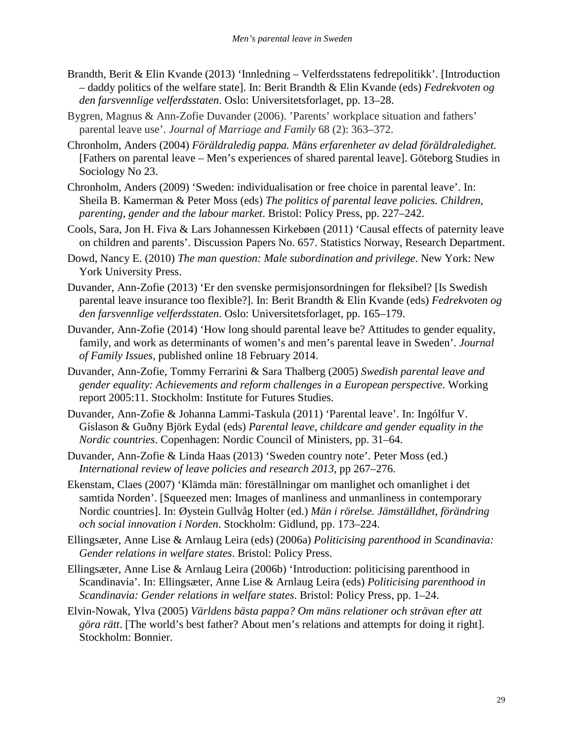- Brandth, Berit & Elin Kvande (2013) 'Innledning Velferdsstatens fedrepolitikk'. [Introduction – daddy politics of the welfare state]. In: Berit Brandth & Elin Kvande (eds) *Fedrekvoten og den farsvennlige velferdsstaten*. Oslo: Universitetsforlaget, pp. 13–28.
- Bygren, Magnus & Ann-Zofie Duvander (2006). 'Parents' workplace situation and fathers' parental leave use'. *Journal of Marriage and Family* 68 (2): 363–372.
- Chronholm, Anders (2004) *Föräldraledig pappa. Mäns erfarenheter av delad föräldraledighet.* [Fathers on parental leave – Men's experiences of shared parental leave]. Göteborg Studies in Sociology No 23.
- Chronholm, Anders (2009) 'Sweden: individualisation or free choice in parental leave'. In: Sheila B. Kamerman & Peter Moss (eds) *The politics of parental leave policies. Children, parenting, gender and the labour market*. Bristol: Policy Press, pp. 227–242.
- Cools, Sara, Jon H. Fiva & Lars Johannessen Kirkebøen (2011) 'Causal effects of paternity leave on children and parents'. Discussion Papers No. 657. Statistics Norway, Research Department.
- Dowd, Nancy E. (2010) *The man question: Male subordination and privilege*. New York: New York University Press.
- Duvander, Ann-Zofie (2013) 'Er den svenske permisjonsordningen for fleksibel? [Is Swedish parental leave insurance too flexible?]. In: Berit Brandth & Elin Kvande (eds) *Fedrekvoten og den farsvennlige velferdsstaten*. Oslo: Universitetsforlaget, pp. 165–179.
- Duvander, Ann-Zofie (2014) 'How long should parental leave be? Attitudes to gender equality, family, and work as determinants of women's and men's parental leave in Sweden'. *Journal of Family Issues*, published online 18 February 2014.
- Duvander, Ann-Zofie, Tommy Ferrarini & Sara Thalberg (2005) *Swedish parental leave and gender equality: Achievements and reform challenges in a European perspective*. Working report 2005:11. Stockholm: Institute for Futures Studies.
- Duvander, Ann-Zofie & Johanna Lammi-Taskula (2011) 'Parental leave'. In: Ingólfur V. Gíslason & Guðny Björk Eydal (eds) *Parental leave, childcare and gender equality in the Nordic countries*. Copenhagen: Nordic Council of Ministers, pp. 31–64.
- Duvander, Ann-Zofie & Linda Haas (2013) 'Sweden country note'. Peter Moss (ed.) *International review of leave policies and research 2013*, pp 267–276.
- Ekenstam, Claes (2007) 'Klämda män: föreställningar om manlighet och omanlighet i det samtida Norden'. [Squeezed men: Images of manliness and unmanliness in contemporary Nordic countries]. In: Øystein Gullvåg Holter (ed.) *Män i rörelse. Jämställdhet, förändring och social innovation i Norden*. Stockholm: Gidlund, pp. 173–224.
- Ellingsæter, Anne Lise & Arnlaug Leira (eds) (2006a) *Politicising parenthood in Scandinavia: Gender relations in welfare states*. Bristol: Policy Press.
- Ellingsæter, Anne Lise & Arnlaug Leira (2006b) 'Introduction: politicising parenthood in Scandinavia'. In: Ellingsæter, Anne Lise & Arnlaug Leira (eds) *Politicising parenthood in Scandinavia: Gender relations in welfare states*. Bristol: Policy Press, pp. 1–24.
- Elvin-Nowak, Ylva (2005) *Världens bästa pappa? Om mäns relationer och strävan efter att göra rätt*. [The world's best father? About men's relations and attempts for doing it right]. Stockholm: Bonnier.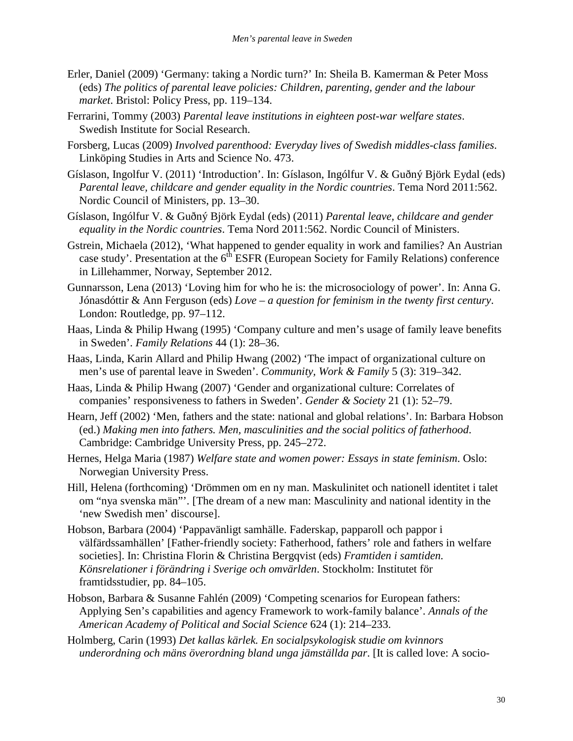- Erler, Daniel (2009) 'Germany: taking a Nordic turn?' In: Sheila B. Kamerman & Peter Moss (eds) *The politics of parental leave policies: Children, parenting, gender and the labour market*. Bristol: Policy Press, pp. 119–134.
- Ferrarini, Tommy (2003) *Parental leave institutions in eighteen post-war welfare states*. Swedish Institute for Social Research.
- Forsberg, Lucas (2009) *Involved parenthood: Everyday lives of Swedish middles-class families*. Linköping Studies in Arts and Science No. 473.
- Gíslason, Ingolfur V. (2011) 'Introduction'. In: Gíslason, Ingólfur V. & Guðný Björk Eydal (eds) *Parental leave, childcare and gender equality in the Nordic countries*. Tema Nord 2011:562. Nordic Council of Ministers, pp. 13–30.
- Gíslason, Ingólfur V. & Guðný Björk Eydal (eds) (2011) *Parental leave, childcare and gender equality in the Nordic countries*. Tema Nord 2011:562. Nordic Council of Ministers.
- Gstrein, Michaela (2012), 'What happened to gender equality in work and families? An Austrian case study'. Presentation at the 6<sup>th</sup> ESFR (European Society for Family Relations) conference in Lillehammer, Norway, September 2012.
- Gunnarsson, Lena (2013) 'Loving him for who he is: the microsociology of power'. In: Anna G. Jónasdóttir & Ann Ferguson (eds) *Love – a question for feminism in the twenty first century*. London: Routledge, pp. 97–112.
- Haas, Linda & Philip Hwang (1995) 'Company culture and men's usage of family leave benefits in Sweden'. *Family Relations* 44 (1): 28–36.
- Haas, Linda, Karin Allard and Philip Hwang (2002) 'The impact of organizational culture on men's use of parental leave in Sweden'. *Community, Work & Family* 5 (3): 319–342.
- Haas, Linda & Philip Hwang (2007) 'Gender and organizational culture: Correlates of companies' responsiveness to fathers in Sweden'. *Gender & Society* 21 (1): 52–79.
- Hearn, Jeff (2002) 'Men, fathers and the state: national and global relations'. In: Barbara Hobson (ed.) *Making men into fathers. Men, masculinities and the social politics of fatherhood*. Cambridge: Cambridge University Press, pp. 245–272.
- Hernes, Helga Maria (1987) *Welfare state and women power: Essays in state feminism*. Oslo: Norwegian University Press.
- Hill, Helena (forthcoming) 'Drömmen om en ny man. Maskulinitet och nationell identitet i talet om "nya svenska män"'. [The dream of a new man: Masculinity and national identity in the 'new Swedish men' discourse].
- Hobson, Barbara (2004) 'Pappavänligt samhälle. Faderskap, papparoll och pappor i välfärdssamhällen' [Father-friendly society: Fatherhood, fathers' role and fathers in welfare societies]. In: Christina Florin & Christina Bergqvist (eds) *Framtiden i samtiden. Könsrelationer i förändring i Sverige och omvärlden*. Stockholm: Institutet för framtidsstudier, pp. 84–105.
- Hobson, Barbara & Susanne Fahlén (2009) 'Competing scenarios for European fathers: Applying Sen's capabilities and agency Framework to work-family balance'. *Annals of the American Academy of Political and Social Science* 624 (1): 214–233.
- Holmberg, Carin (1993) *Det kallas kärlek. En socialpsykologisk studie om kvinnors underordning och mäns överordning bland unga jämställda par*. [It is called love: A socio-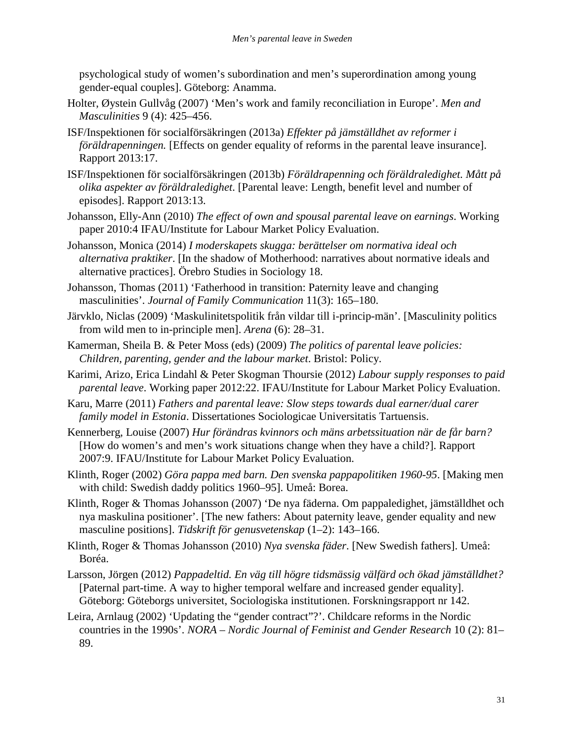psychological study of women's subordination and men's superordination among young gender-equal couples]. Göteborg: Anamma.

- Holter, Øystein Gullvåg (2007) 'Men's work and family reconciliation in Europe'. *Men and Masculinities* 9 (4): 425–456.
- ISF/Inspektionen för socialförsäkringen (2013a) *Effekter på jämställdhet av reformer i föräldrapenningen.* [Effects on gender equality of reforms in the parental leave insurance]. Rapport 2013:17.
- ISF/Inspektionen för socialförsäkringen (2013b) *Föräldrapenning och föräldraledighet. Mått på olika aspekter av föräldraledighet*. [Parental leave: Length, benefit level and number of episodes]. Rapport 2013:13.
- Johansson, Elly-Ann (2010) *The effect of own and spousal parental leave on earnings*. Working paper 2010:4 IFAU/Institute for Labour Market Policy Evaluation.
- Johansson, Monica (2014) *I moderskapets skugga: berättelser om normativa ideal och alternativa praktiker*. [In the shadow of Motherhood: narratives about normative ideals and alternative practices]. Örebro Studies in Sociology 18.
- Johansson, Thomas (2011) 'Fatherhood in transition: Paternity leave and changing masculinities'. *Journal of Family Communication* 11(3): 165–180.
- Järvklo, Niclas (2009) 'Maskulinitetspolitik från vildar till i-princip-män'. [Masculinity politics from wild men to in-principle men]. *Arena* (6): 28–31.
- Kamerman, Sheila B. & Peter Moss (eds) (2009) *The politics of parental leave policies: Children, parenting, gender and the labour market*. Bristol: Policy.
- Karimi, Arizo, Erica Lindahl & Peter Skogman Thoursie (2012) *Labour supply responses to paid parental leave*. Working paper 2012:22. IFAU/Institute for Labour Market Policy Evaluation.
- Karu, Marre (2011) *Fathers and parental leave: Slow steps towards dual earner/dual carer family model in Estonia*. Dissertationes Sociologicae Universitatis Tartuensis.
- Kennerberg, Louise (2007) *Hur förändras kvinnors och mäns arbetssituation när de får barn?* [How do women's and men's work situations change when they have a child?]. Rapport 2007:9. IFAU/Institute for Labour Market Policy Evaluation.
- Klinth, Roger (2002) *Göra pappa med barn. Den svenska pappapolitiken 1960-95*. [Making men with child: Swedish daddy politics 1960–95]. Umeå: Borea.
- Klinth, Roger & Thomas Johansson (2007) 'De nya fäderna. Om pappaledighet, jämställdhet och nya maskulina positioner'. [The new fathers: About paternity leave, gender equality and new masculine positions]. *Tidskrift för genusvetenskap* (1–2): 143–166.
- Klinth, Roger & Thomas Johansson (2010) *Nya svenska fäder*. [New Swedish fathers]. Umeå: Boréa.
- Larsson, Jörgen (2012) *Pappadeltid. En väg till högre tidsmässig välfärd och ökad jämställdhet?*  [Paternal part-time. A way to higher temporal welfare and increased gender equality]. Göteborg: Göteborgs universitet, Sociologiska institutionen. Forskningsrapport nr 142.
- Leira, Arnlaug (2002) 'Updating the "gender contract"?'. Childcare reforms in the Nordic countries in the 1990s'. *NORA – Nordic Journal of Feminist and Gender Research* 10 (2): 81– 89.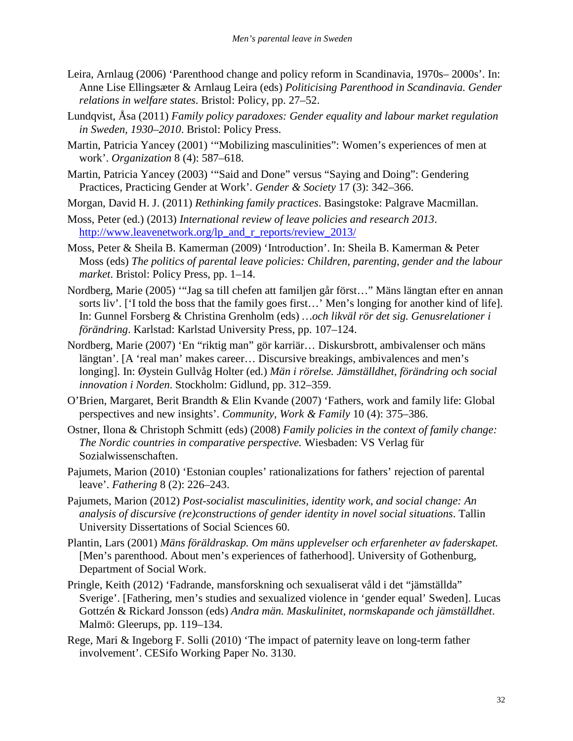- Leira, Arnlaug (2006) 'Parenthood change and policy reform in Scandinavia, 1970s– 2000s'. In: Anne Lise Ellingsæter & Arnlaug Leira (eds) *Politicising Parenthood in Scandinavia. Gender relations in welfare states*. Bristol: Policy, pp. 27–52.
- Lundqvist, Åsa (2011) *Family policy paradoxes: Gender equality and labour market regulation in Sweden, 1930–2010*. Bristol: Policy Press.
- Martin, Patricia Yancey (2001) '"Mobilizing masculinities": Women's experiences of men at work'. *Organization* 8 (4): 587–618.
- Martin, Patricia Yancey (2003) '"Said and Done" versus "Saying and Doing": Gendering Practices, Practicing Gender at Work'. *Gender & Society* 17 (3): 342–366.
- Morgan, David H. J. (2011) *Rethinking family practices*. Basingstoke: Palgrave Macmillan.
- Moss, Peter (ed.) (2013) *International review of leave policies and research 2013*. http://www.leavenetwork.org/lp\_and\_r\_reports/review\_2013/
- Moss, Peter & Sheila B. Kamerman (2009) 'Introduction'. In: Sheila B. Kamerman & Peter Moss (eds) *The politics of parental leave policies: Children, parenting, gender and the labour market*. Bristol: Policy Press, pp. 1–14.
- Nordberg, Marie (2005) '"Jag sa till chefen att familjen går först…" Mäns längtan efter en annan sorts liv'. ['I told the boss that the family goes first…' Men's longing for another kind of life]. In: Gunnel Forsberg & Christina Grenholm (eds) *…och likväl rör det sig. Genusrelationer i förändring*. Karlstad: Karlstad University Press, pp. 107–124.
- Nordberg, Marie (2007) 'En "riktig man" gör karriär… Diskursbrott, ambivalenser och mäns längtan'. [A 'real man' makes career… Discursive breakings, ambivalences and men's longing]. In: Øystein Gullvåg Holter (ed.) *Män i rörelse. Jämställdhet, förändring och social innovation i Norden*. Stockholm: Gidlund, pp. 312–359.
- O'Brien, Margaret, Berit Brandth & Elin Kvande (2007) 'Fathers, work and family life: Global perspectives and new insights'. *Community, Work & Family* 10 (4): 375–386.
- Ostner, Ilona & Christoph Schmitt (eds) (2008) *Family policies in the context of family change: The Nordic countries in comparative perspective.* Wiesbaden: VS Verlag für Sozialwissenschaften.
- Pajumets, Marion (2010) 'Estonian couples' rationalizations for fathers' rejection of parental leave'. *Fathering* 8 (2): 226–243.
- Pajumets, Marion (2012) *Post-socialist masculinities, identity work, and social change: An analysis of discursive (re)constructions of gender identity in novel social situations*. Tallin University Dissertations of Social Sciences 60.
- Plantin, Lars (2001) *Mäns föräldraskap. Om mäns upplevelser och erfarenheter av faderskapet.* [Men's parenthood. About men's experiences of fatherhood]. University of Gothenburg, Department of Social Work.
- Pringle, Keith (2012) 'Fadrande, mansforskning och sexualiserat våld i det "jämställda" Sverige'. [Fathering, men's studies and sexualized violence in 'gender equal' Sweden]. Lucas Gottzén & Rickard Jonsson (eds) *Andra män. Maskulinitet, normskapande och jämställdhet*. Malmö: Gleerups, pp. 119–134.
- Rege, Mari & Ingeborg F. Solli (2010) 'The impact of paternity leave on long-term father involvement'. CESifo Working Paper No. 3130.